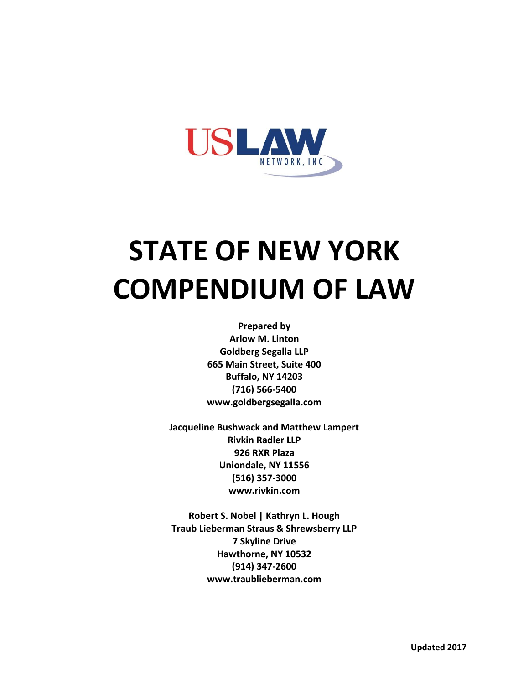

# **STATE OF NEW YORK COMPENDIUM OF LAW**

**Prepared by Arlow M. Linton Goldberg Segalla LLP 665 Main Street, Suite 400 Buffalo, NY 14203 (716) 566‐5400 www.goldbergsegalla.com** 

**Jacqueline Bushwack and Matthew Lampert Rivkin Radler LLP 926 RXR Plaza Uniondale, NY 11556 (516) 357-3000 www.rivkin.com** 

**Robert S. Nobel | Kathryn L. Hough Traub Lieberman Straus & Shrewsberry LLP 7 Skyline Drive Hawthorne, NY 10532 (914) 347‐2600 www.traublieberman.com**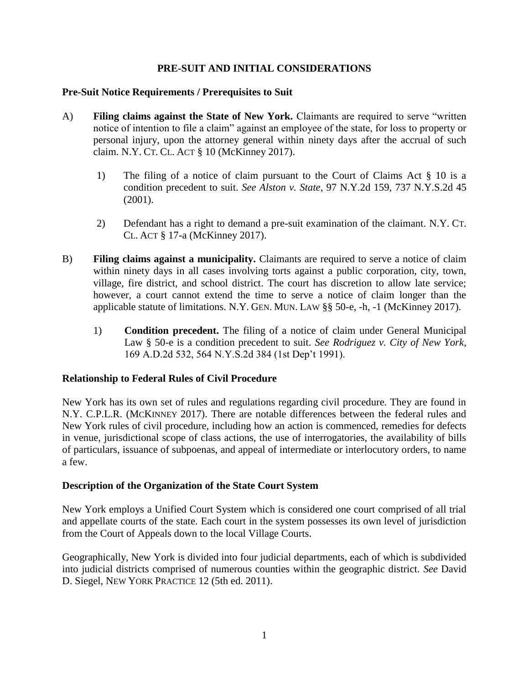## **PRE-SUIT AND INITIAL CONSIDERATIONS**

## **Pre-Suit Notice Requirements / Prerequisites to Suit**

- A) **Filing claims against the State of New York.** Claimants are required to serve "written notice of intention to file a claim" against an employee of the state, for loss to property or personal injury, upon the attorney general within ninety days after the accrual of such claim. N.Y. CT. CL. ACT § 10 (McKinney 2017).
	- 1) The filing of a notice of claim pursuant to the Court of Claims Act § 10 is a condition precedent to suit. *See Alston v. State*, 97 N.Y.2d 159, 737 N.Y.S.2d 45 (2001).
	- 2) Defendant has a right to demand a pre-suit examination of the claimant. N.Y. CT. CL. ACT § 17-a (McKinney 2017).
- B) **Filing claims against a municipality.** Claimants are required to serve a notice of claim within ninety days in all cases involving torts against a public corporation, city, town, village, fire district, and school district. The court has discretion to allow late service; however, a court cannot extend the time to serve a notice of claim longer than the applicable statute of limitations. N.Y. GEN. MUN. LAW §§ 50-e, -h, -1 (McKinney 2017).
	- 1) **Condition precedent.** The filing of a notice of claim under General Municipal Law § 50-e is a condition precedent to suit. *See Rodriguez v. City of New York*, 169 A.D.2d 532, 564 N.Y.S.2d 384 (1st Dep't 1991).

## **Relationship to Federal Rules of Civil Procedure**

New York has its own set of rules and regulations regarding civil procedure. They are found in N.Y. C.P.L.R. (MCKINNEY 2017). There are notable differences between the federal rules and New York rules of civil procedure, including how an action is commenced, remedies for defects in venue, jurisdictional scope of class actions, the use of interrogatories, the availability of bills of particulars, issuance of subpoenas, and appeal of intermediate or interlocutory orders, to name a few.

#### **Description of the Organization of the State Court System**

New York employs a Unified Court System which is considered one court comprised of all trial and appellate courts of the state. Each court in the system possesses its own level of jurisdiction from the Court of Appeals down to the local Village Courts.

Geographically, New York is divided into four judicial departments, each of which is subdivided into judicial districts comprised of numerous counties within the geographic district. *See* David D. Siegel, NEW YORK PRACTICE 12 (5th ed. 2011).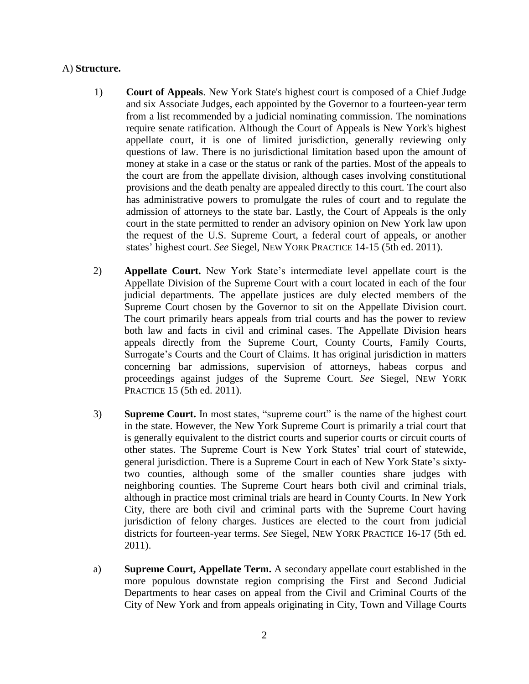### A) **Structure.**

- 1) **Court of Appeals**. New York State's highest court is composed of a Chief Judge and six Associate Judges, each appointed by the Governor to a fourteen-year term from a list recommended by a judicial nominating commission. The nominations require senate ratification. Although the Court of Appeals is New York's highest appellate court, it is one of limited jurisdiction, generally reviewing only questions of law. There is no jurisdictional limitation based upon the amount of money at stake in a case or the status or rank of the parties. Most of the appeals to the court are from the appellate division, although cases involving constitutional provisions and the death penalty are appealed directly to this court. The court also has administrative powers to promulgate the rules of court and to regulate the admission of attorneys to the state bar. Lastly, the Court of Appeals is the only court in the state permitted to render an advisory opinion on New York law upon the request of the U.S. Supreme Court, a federal court of appeals, or another states' highest court. *See* Siegel, NEW YORK PRACTICE 14-15 (5th ed. 2011).
- 2) **Appellate Court.** New York State's intermediate level appellate court is the Appellate Division of the Supreme Court with a court located in each of the four judicial departments. The appellate justices are duly elected members of the Supreme Court chosen by the Governor to sit on the Appellate Division court. The court primarily hears appeals from trial courts and has the power to review both law and facts in civil and criminal cases. The Appellate Division hears appeals directly from the Supreme Court, County Courts, Family Courts, Surrogate's Courts and the Court of Claims. It has original jurisdiction in matters concerning bar admissions, supervision of attorneys, habeas corpus and proceedings against judges of the Supreme Court. *See* Siegel, NEW YORK PRACTICE 15 (5th ed. 2011).
- 3) **Supreme Court.** In most states, "supreme court" is the name of the highest court in the state. However, the New York Supreme Court is primarily a trial court that is generally equivalent to the district courts and superior courts or circuit courts of other states. The Supreme Court is New York States' trial court of statewide, general jurisdiction. There is a Supreme Court in each of New York State's sixtytwo counties, although some of the smaller counties share judges with neighboring counties. The Supreme Court hears both civil and criminal trials, although in practice most criminal trials are heard in County Courts. In New York City, there are both civil and criminal parts with the Supreme Court having jurisdiction of felony charges. Justices are elected to the court from judicial districts for fourteen-year terms. *See* Siegel, NEW YORK PRACTICE 16-17 (5th ed. 2011).
- a) **Supreme Court, Appellate Term.** A secondary appellate court established in the more populous downstate region comprising the First and Second Judicial Departments to hear cases on appeal from the Civil and Criminal Courts of the City of New York and from appeals originating in City, Town and Village Courts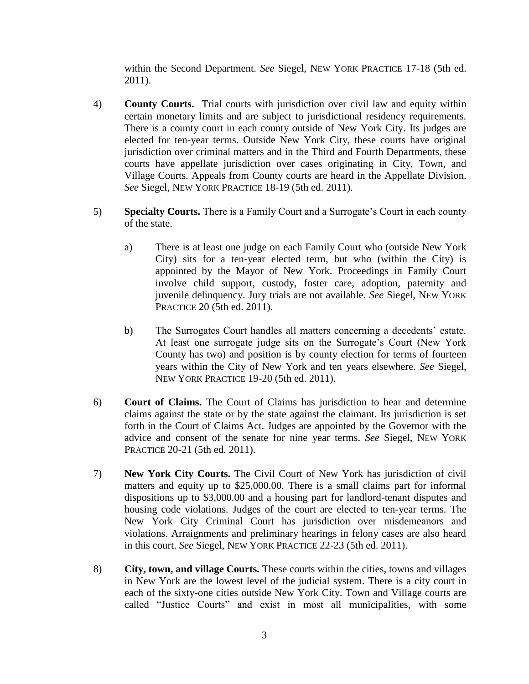within the Second Department. *See* Siegel, NEW YORK PRACTICE 17-18 (5th ed. 2011).

- 4) **County Courts.** Trial courts with jurisdiction over civil law and equity within certain monetary limits and are subject to jurisdictional residency requirements. There is a county court in each county outside of New York City. Its judges are elected for ten-year terms. Outside New York City, these courts have original jurisdiction over criminal matters and in the Third and Fourth Departments, these courts have appellate jurisdiction over cases originating in City, Town, and Village Courts. Appeals from County courts are heard in the Appellate Division. *See* Siegel, NEW YORK PRACTICE 18-19 (5th ed. 2011).
- 5) **Specialty Courts.** There is a Family Court and a Surrogate's Court in each county of the state.
	- a) There is at least one judge on each Family Court who (outside New York City) sits for a ten-year elected term, but who (within the City) is appointed by the Mayor of New York. Proceedings in Family Court involve child support, custody, foster care, adoption, paternity and juvenile delinquency. Jury trials are not available. *See* Siegel, NEW YORK PRACTICE 20 (5th ed. 2011).
	- b) The Surrogates Court handles all matters concerning a decedents' estate. At least one surrogate judge sits on the Surrogate's Court (New York County has two) and position is by county election for terms of fourteen years within the City of New York and ten years elsewhere. *See* Siegel, NEW YORK PRACTICE 19-20 (5th ed. 2011).
- 6) **Court of Claims.** The Court of Claims has jurisdiction to hear and determine claims against the state or by the state against the claimant. Its jurisdiction is set forth in the Court of Claims Act. Judges are appointed by the Governor with the advice and consent of the senate for nine year terms. *See* Siegel, NEW YORK PRACTICE 20-21 (5th ed. 2011).
- 7) **New York City Courts.** The Civil Court of New York has jurisdiction of civil matters and equity up to \$25,000.00. There is a small claims part for informal dispositions up to \$3,000.00 and a housing part for landlord-tenant disputes and housing code violations. Judges of the court are elected to ten-year terms. The New York City Criminal Court has jurisdiction over misdemeanors and violations. Arraignments and preliminary hearings in felony cases are also heard in this court. *See* Siegel, NEW YORK PRACTICE 22-23 (5th ed. 2011).
- 8) **City, town, and village Courts.** These courts within the cities, towns and villages in New York are the lowest level of the judicial system. There is a city court in each of the sixty-one cities outside New York City. Town and Village courts are called "Justice Courts" and exist in most all municipalities, with some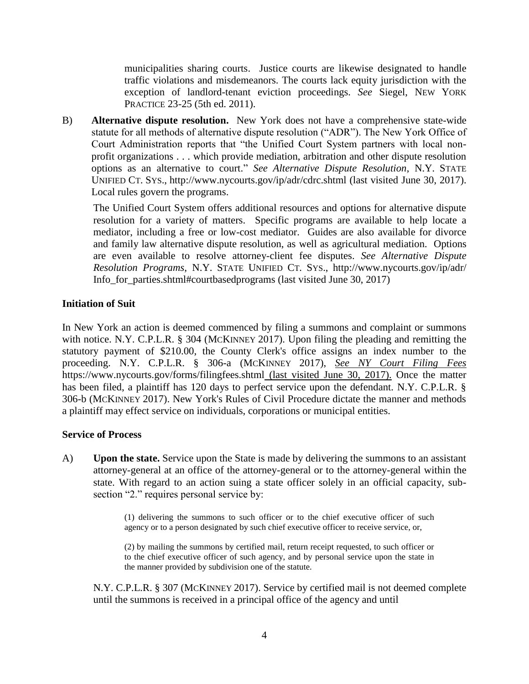municipalities sharing courts. Justice courts are likewise designated to handle traffic violations and misdemeanors. The courts lack equity jurisdiction with the exception of landlord-tenant eviction proceedings. *See* Siegel, NEW YORK PRACTICE 23-25 (5th ed. 2011).

B) **Alternative dispute resolution.** New York does not have a comprehensive state-wide statute for all methods of alternative dispute resolution ("ADR"). The New York Office of Court Administration reports that "the Unified Court System partners with local nonprofit organizations . . . which provide mediation, arbitration and other dispute resolution options as an alternative to court." *See Alternative Dispute Resolution*, N.Y. STATE UNIFIED CT. SYS., http://www.nycourts.gov/ip/adr/cdrc.shtml (last visited June 30, 2017). Local rules govern the programs.

The Unified Court System offers additional resources and options for alternative dispute resolution for a variety of matters. Specific programs are available to help locate a mediator, including a free or low-cost mediator. Guides are also available for divorce and family law alternative dispute resolution, as well as agricultural mediation. Options are even available to resolve attorney-client fee disputes. *See Alternative Dispute Resolution Programs*, N.Y. STATE UNIFIED CT. SYS., http://www.nycourts.gov/ip/adr/ Info\_for\_parties.shtml#courtbasedprograms (last visited June 30, 2017)

## **Initiation of Suit**

In New York an action is deemed commenced by filing a summons and complaint or summons with notice. N.Y. C.P.L.R. § 304 (MCKINNEY 2017). Upon filing the pleading and remitting the statutory payment of \$210.00, the County Clerk's office assigns an index number to the proceeding. N.Y. C.P.L.R. § 306-a (MCKINNEY 2017), *See NY Court Filing Fees* https://www.nycourts.gov/forms/filingfees.shtml (last visited June 30, 2017). Once the matter has been filed, a plaintiff has 120 days to perfect service upon the defendant. N.Y. C.P.L.R. § 306-b (MCKINNEY 2017). New York's Rules of Civil Procedure dictate the manner and methods a plaintiff may effect service on individuals, corporations or municipal entities.

## **Service of Process**

A) **Upon the state.** Service upon the State is made by delivering the summons to an assistant attorney-general at an office of the attorney-general or to the attorney-general within the state. With regard to an action suing a state officer solely in an official capacity, subsection "2." requires personal service by:

> (1) delivering the summons to such officer or to the chief executive officer of such agency or to a person designated by such chief executive officer to receive service, or,

> (2) by mailing the summons by certified mail, return receipt requested, to such officer or to the chief executive officer of such agency, and by personal service upon the state in the manner provided by subdivision one of the statute.

N.Y. C.P.L.R. § 307 (MCKINNEY 2017). Service by certified mail is not deemed complete until the summons is received in a principal office of the agency and until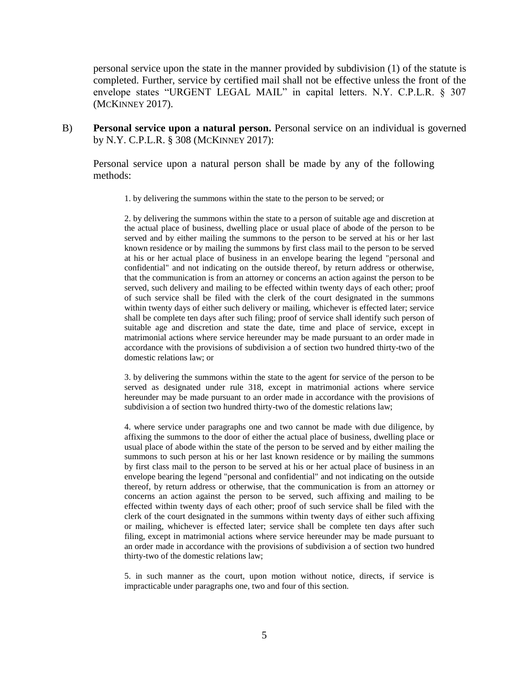personal service upon the state in the manner provided by subdivision (1) of the statute is completed. Further, service by certified mail shall not be effective unless the front of the envelope states "URGENT LEGAL MAIL" in capital letters. N.Y. C.P.L.R. § 307 (MCKINNEY 2017).

B) **Personal service upon a natural person.** Personal service on an individual is governed by N.Y. C.P.L.R. § 308 (MCKINNEY 2017):

Personal service upon a natural person shall be made by any of the following methods:

1. by delivering the summons within the state to the person to be served; or

2. by delivering the summons within the state to a person of suitable age and discretion at the actual place of business, dwelling place or usual place of abode of the person to be served and by either mailing the summons to the person to be served at his or her last known residence or by mailing the summons by first class mail to the person to be served at his or her actual place of business in an envelope bearing the legend "personal and confidential" and not indicating on the outside thereof, by return address or otherwise, that the communication is from an attorney or concerns an action against the person to be served, such delivery and mailing to be effected within twenty days of each other; proof of such service shall be filed with the clerk of the court designated in the summons within twenty days of either such delivery or mailing, whichever is effected later; service shall be complete ten days after such filing; proof of service shall identify such person of suitable age and discretion and state the date, time and place of service, except in matrimonial actions where service hereunder may be made pursuant to an order made in accordance with the provisions of subdivision a of section two hundred thirty-two of the domestic relations law; or

3. by delivering the summons within the state to the agent for service of the person to be served as designated under rule 318, except in matrimonial actions where service hereunder may be made pursuant to an order made in accordance with the provisions of subdivision a of section two hundred thirty-two of the domestic relations law;

4. where service under paragraphs one and two cannot be made with due diligence, by affixing the summons to the door of either the actual place of business, dwelling place or usual place of abode within the state of the person to be served and by either mailing the summons to such person at his or her last known residence or by mailing the summons by first class mail to the person to be served at his or her actual place of business in an envelope bearing the legend "personal and confidential" and not indicating on the outside thereof, by return address or otherwise, that the communication is from an attorney or concerns an action against the person to be served, such affixing and mailing to be effected within twenty days of each other; proof of such service shall be filed with the clerk of the court designated in the summons within twenty days of either such affixing or mailing, whichever is effected later; service shall be complete ten days after such filing, except in matrimonial actions where service hereunder may be made pursuant to an order made in accordance with the provisions of subdivision a of section two hundred thirty-two of the domestic relations law;

5. in such manner as the court, upon motion without notice, directs, if service is impracticable under paragraphs one, two and four of this section.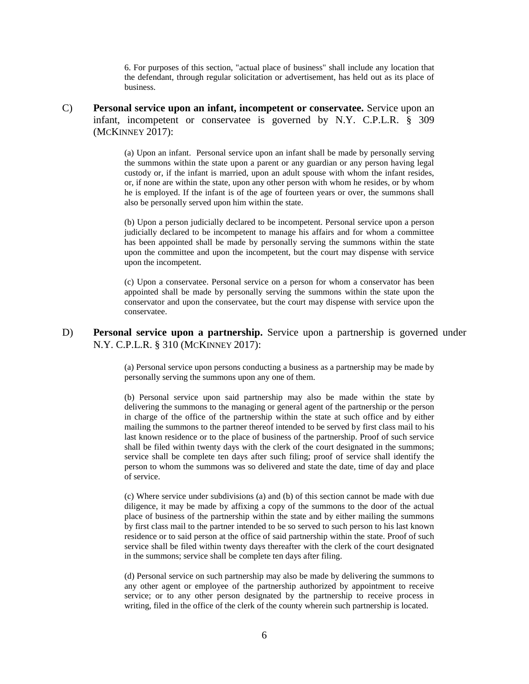6. For purposes of this section, "actual place of business" shall include any location that the defendant, through regular solicitation or advertisement, has held out as its place of business.

C) **Personal service upon an infant, incompetent or conservatee.** Service upon an infant, incompetent or conservatee is governed by N.Y. C.P.L.R. § 309 (MCKINNEY 2017):

> (a) Upon an infant. Personal service upon an infant shall be made by personally serving the summons within the state upon a parent or any guardian or any person having legal custody or, if the infant is married, upon an adult spouse with whom the infant resides, or, if none are within the state, upon any other person with whom he resides, or by whom he is employed. If the infant is of the age of fourteen years or over, the summons shall also be personally served upon him within the state.

> (b) Upon a person judicially declared to be incompetent. Personal service upon a person judicially declared to be incompetent to manage his affairs and for whom a committee has been appointed shall be made by personally serving the summons within the state upon the committee and upon the incompetent, but the court may dispense with service upon the incompetent.

> (c) Upon a conservatee. Personal service on a person for whom a conservator has been appointed shall be made by personally serving the summons within the state upon the conservator and upon the conservatee, but the court may dispense with service upon the conservatee.

D) **Personal service upon a partnership.** Service upon a partnership is governed under N.Y. C.P.L.R. § 310 (MCKINNEY 2017):

> (a) Personal service upon persons conducting a business as a partnership may be made by personally serving the summons upon any one of them.

> (b) Personal service upon said partnership may also be made within the state by delivering the summons to the managing or general agent of the partnership or the person in charge of the office of the partnership within the state at such office and by either mailing the summons to the partner thereof intended to be served by first class mail to his last known residence or to the place of business of the partnership. Proof of such service shall be filed within twenty days with the clerk of the court designated in the summons; service shall be complete ten days after such filing; proof of service shall identify the person to whom the summons was so delivered and state the date, time of day and place of service.

> (c) Where service under subdivisions (a) and (b) of this section cannot be made with due diligence, it may be made by affixing a copy of the summons to the door of the actual place of business of the partnership within the state and by either mailing the summons by first class mail to the partner intended to be so served to such person to his last known residence or to said person at the office of said partnership within the state. Proof of such service shall be filed within twenty days thereafter with the clerk of the court designated in the summons; service shall be complete ten days after filing.

> (d) Personal service on such partnership may also be made by delivering the summons to any other agent or employee of the partnership authorized by appointment to receive service; or to any other person designated by the partnership to receive process in writing, filed in the office of the clerk of the county wherein such partnership is located.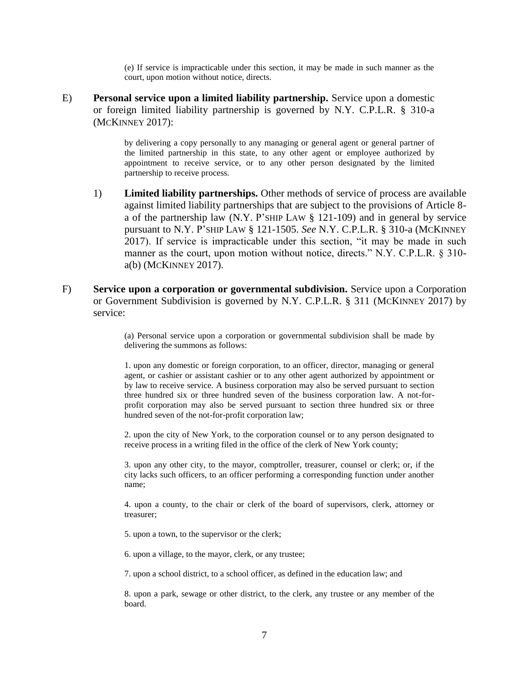(e) If service is impracticable under this section, it may be made in such manner as the court, upon motion without notice, directs.

E) **Personal service upon a limited liability partnership.** Service upon a domestic or foreign limited liability partnership is governed by N.Y. C.P.L.R. § 310-a (MCKINNEY 2017):

> by delivering a copy personally to any managing or general agent or general partner of the limited partnership in this state, to any other agent or employee authorized by appointment to receive service, or to any other person designated by the limited partnership to receive process.

- 1) **Limited liability partnerships.** Other methods of service of process are available against limited liability partnerships that are subject to the provisions of Article 8 a of the partnership law (N.Y. P'SHIP LAW § 121-109) and in general by service pursuant to N.Y. P'SHIP LAW § 121-1505. *See* N.Y. C.P.L.R. § 310-a (MCKINNEY 2017). If service is impracticable under this section, "it may be made in such manner as the court, upon motion without notice, directs." N.Y. C.P.L.R. § 310 a(b) (MCKINNEY 2017).
- F) **Service upon a corporation or governmental subdivision.** Service upon a Corporation or Government Subdivision is governed by N.Y. C.P.L.R. § 311 (MCKINNEY 2017) by service:

(a) Personal service upon a corporation or governmental subdivision shall be made by delivering the summons as follows:

1. upon any domestic or foreign corporation, to an officer, director, managing or general agent, or cashier or assistant cashier or to any other agent authorized by appointment or by law to receive service. A business corporation may also be served pursuant to section three hundred six or three hundred seven of the business corporation law. A not-forprofit corporation may also be served pursuant to section three hundred six or three hundred seven of the not-for-profit corporation law;

2. upon the city of New York, to the corporation counsel or to any person designated to receive process in a writing filed in the office of the clerk of New York county;

3. upon any other city, to the mayor, comptroller, treasurer, counsel or clerk; or, if the city lacks such officers, to an officer performing a corresponding function under another name;

4. upon a county, to the chair or clerk of the board of supervisors, clerk, attorney or treasurer;

5. upon a town, to the supervisor or the clerk;

6. upon a village, to the mayor, clerk, or any trustee;

7. upon a school district, to a school officer, as defined in the education law; and

8. upon a park, sewage or other district, to the clerk, any trustee or any member of the board.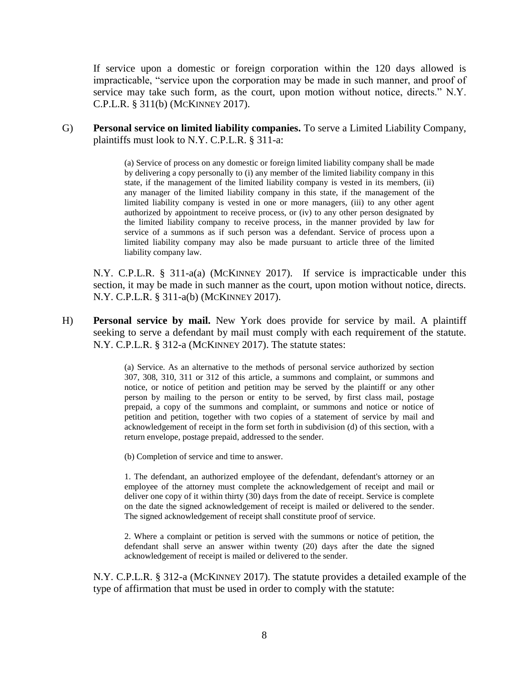If service upon a domestic or foreign corporation within the 120 days allowed is impracticable, "service upon the corporation may be made in such manner, and proof of service may take such form, as the court, upon motion without notice, directs." N.Y. C.P.L.R. § 311(b) (MCKINNEY 2017).

G) **Personal service on limited liability companies.** To serve a Limited Liability Company, plaintiffs must look to N.Y. C.P.L.R. § 311-a:

> (a) Service of process on any domestic or foreign limited liability company shall be made by delivering a copy personally to (i) any member of the limited liability company in this state, if the management of the limited liability company is vested in its members, (ii) any manager of the limited liability company in this state, if the management of the limited liability company is vested in one or more managers, (iii) to any other agent authorized by appointment to receive process, or (iv) to any other person designated by the limited liability company to receive process, in the manner provided by law for service of a summons as if such person was a defendant. Service of process upon a limited liability company may also be made pursuant to article three of the limited liability company law.

N.Y. C.P.L.R. § 311-a(a) (MCKINNEY 2017). If service is impracticable under this section, it may be made in such manner as the court, upon motion without notice, directs. N.Y. C.P.L.R. § 311-a(b) (MCKINNEY 2017).

H) **Personal service by mail.** New York does provide for service by mail. A plaintiff seeking to serve a defendant by mail must comply with each requirement of the statute. N.Y. C.P.L.R. § 312-a (MCKINNEY 2017). The statute states:

> (a) Service. As an alternative to the methods of personal service authorized by section 307, 308, 310, 311 or 312 of this article, a summons and complaint, or summons and notice, or notice of petition and petition may be served by the plaintiff or any other person by mailing to the person or entity to be served, by first class mail, postage prepaid, a copy of the summons and complaint, or summons and notice or notice of petition and petition, together with two copies of a statement of service by mail and acknowledgement of receipt in the form set forth in subdivision (d) of this section, with a return envelope, postage prepaid, addressed to the sender.

(b) Completion of service and time to answer.

1. The defendant, an authorized employee of the defendant, defendant's attorney or an employee of the attorney must complete the acknowledgement of receipt and mail or deliver one copy of it within thirty (30) days from the date of receipt. Service is complete on the date the signed acknowledgement of receipt is mailed or delivered to the sender. The signed acknowledgement of receipt shall constitute proof of service.

2. Where a complaint or petition is served with the summons or notice of petition, the defendant shall serve an answer within twenty (20) days after the date the signed acknowledgement of receipt is mailed or delivered to the sender.

N.Y. C.P.L.R. § 312-a (MCKINNEY 2017). The statute provides a detailed example of the type of affirmation that must be used in order to comply with the statute: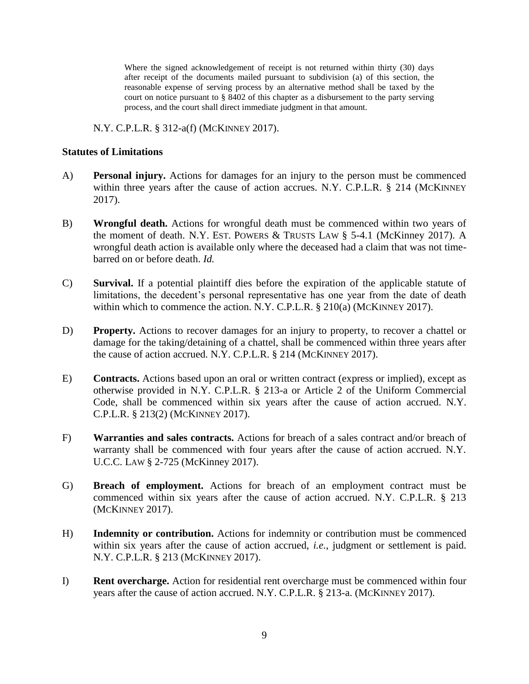Where the signed acknowledgement of receipt is not returned within thirty (30) days after receipt of the documents mailed pursuant to subdivision (a) of this section, the reasonable expense of serving process by an alternative method shall be taxed by the court on notice pursuant to § 8402 of this chapter as a disbursement to the party serving process, and the court shall direct immediate judgment in that amount.

N.Y. C.P.L.R. § 312-a(f) (MCKINNEY 2017).

### **Statutes of Limitations**

- A) **Personal injury.** Actions for damages for an injury to the person must be commenced within three years after the cause of action accrues. N.Y. C.P.L.R. § 214 (MCKINNEY 2017).
- B) **Wrongful death.** Actions for wrongful death must be commenced within two years of the moment of death. N.Y. EST. POWERS & TRUSTS LAW § 5-4.1 (McKinney 2017). A wrongful death action is available only where the deceased had a claim that was not timebarred on or before death. *Id.*
- C) **Survival.** If a potential plaintiff dies before the expiration of the applicable statute of limitations, the decedent's personal representative has one year from the date of death within which to commence the action. N.Y. C.P.L.R. § 210(a) (MCKINNEY 2017).
- D) **Property.** Actions to recover damages for an injury to property, to recover a chattel or damage for the taking/detaining of a chattel, shall be commenced within three years after the cause of action accrued. N.Y. C.P.L.R. § 214 (MCKINNEY 2017).
- E) **Contracts.** Actions based upon an oral or written contract (express or implied), except as otherwise provided in N.Y. C.P.L.R. § 213-a or Article 2 of the Uniform Commercial Code, shall be commenced within six years after the cause of action accrued. N.Y. C.P.L.R. § 213(2) (MCKINNEY 2017).
- F) **Warranties and sales contracts.** Actions for breach of a sales contract and/or breach of warranty shall be commenced with four years after the cause of action accrued. N.Y. U.C.C. LAW § 2-725 (McKinney 2017).
- G) **Breach of employment.** Actions for breach of an employment contract must be commenced within six years after the cause of action accrued. N.Y. C.P.L.R. § 213 (MCKINNEY 2017).
- H) **Indemnity or contribution.** Actions for indemnity or contribution must be commenced within six years after the cause of action accrued, *i.e.*, judgment or settlement is paid. N.Y. C.P.L.R. § 213 (MCKINNEY 2017).
- I) **Rent overcharge.** Action for residential rent overcharge must be commenced within four years after the cause of action accrued. N.Y. C.P.L.R. § 213-a. (MCKINNEY 2017).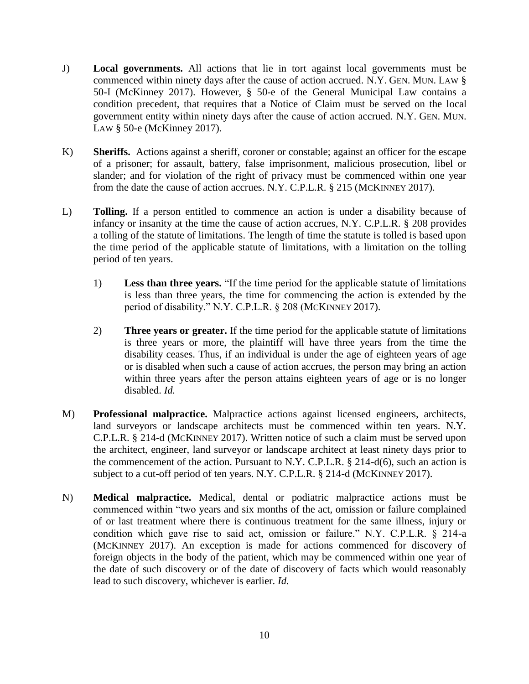- J) **Local governments.** All actions that lie in tort against local governments must be commenced within ninety days after the cause of action accrued. N.Y. GEN. MUN. LAW § 50-I (McKinney 2017). However, § 50-e of the General Municipal Law contains a condition precedent, that requires that a Notice of Claim must be served on the local government entity within ninety days after the cause of action accrued. N.Y. GEN. MUN. LAW § 50-e (McKinney 2017).
- K) **Sheriffs.** Actions against a sheriff, coroner or constable; against an officer for the escape of a prisoner; for assault, battery, false imprisonment, malicious prosecution, libel or slander; and for violation of the right of privacy must be commenced within one year from the date the cause of action accrues. N.Y. C.P.L.R. § 215 (MCKINNEY 2017).
- L) **Tolling.** If a person entitled to commence an action is under a disability because of infancy or insanity at the time the cause of action accrues, N.Y. C.P.L.R. § 208 provides a tolling of the statute of limitations. The length of time the statute is tolled is based upon the time period of the applicable statute of limitations, with a limitation on the tolling period of ten years.
	- 1) **Less than three years.** "If the time period for the applicable statute of limitations is less than three years, the time for commencing the action is extended by the period of disability." N.Y. C.P.L.R. § 208 (MCKINNEY 2017).
	- 2) **Three years or greater.** If the time period for the applicable statute of limitations is three years or more, the plaintiff will have three years from the time the disability ceases. Thus, if an individual is under the age of eighteen years of age or is disabled when such a cause of action accrues, the person may bring an action within three years after the person attains eighteen years of age or is no longer disabled. *Id.*
- M) **Professional malpractice.** Malpractice actions against licensed engineers, architects, land surveyors or landscape architects must be commenced within ten years. N.Y. C.P.L.R. § 214-d (MCKINNEY 2017). Written notice of such a claim must be served upon the architect, engineer, land surveyor or landscape architect at least ninety days prior to the commencement of the action. Pursuant to N.Y. C.P.L.R. § 214-d(6), such an action is subject to a cut-off period of ten years. N.Y. C.P.L.R. § 214-d (MCKINNEY 2017).
- N) **Medical malpractice.** Medical, dental or podiatric malpractice actions must be commenced within "two years and six months of the act, omission or failure complained of or last treatment where there is continuous treatment for the same illness, injury or condition which gave rise to said act, omission or failure." N.Y. C.P.L.R. § 214-a (MCKINNEY 2017). An exception is made for actions commenced for discovery of foreign objects in the body of the patient, which may be commenced within one year of the date of such discovery or of the date of discovery of facts which would reasonably lead to such discovery, whichever is earlier. *Id.*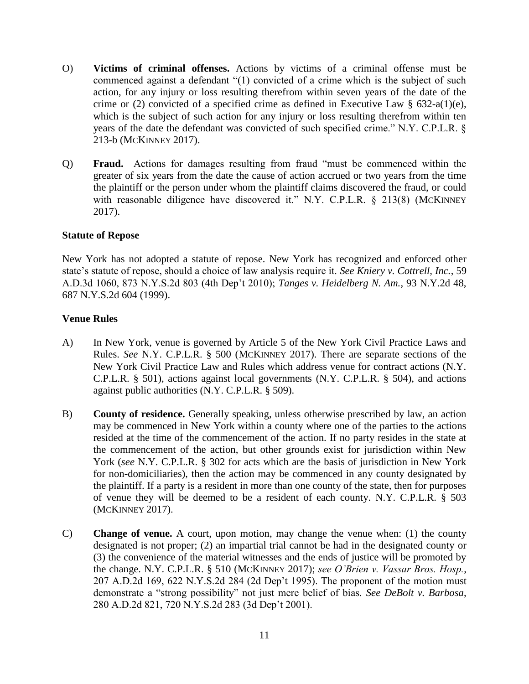- O) **Victims of criminal offenses.** Actions by victims of a criminal offense must be commenced against a defendant "(1) convicted of a crime which is the subject of such action, for any injury or loss resulting therefrom within seven years of the date of the crime or (2) convicted of a specified crime as defined in Executive Law  $\S$  632-a(1)(e), which is the subject of such action for any injury or loss resulting therefrom within ten years of the date the defendant was convicted of such specified crime." N.Y. C.P.L.R. § 213-b (MCKINNEY 2017).
- Q) **Fraud.** Actions for damages resulting from fraud "must be commenced within the greater of six years from the date the cause of action accrued or two years from the time the plaintiff or the person under whom the plaintiff claims discovered the fraud, or could with reasonable diligence have discovered it." N.Y. C.P.L.R. § 213(8) (MCKINNEY 2017).

## **Statute of Repose**

New York has not adopted a statute of repose. New York has recognized and enforced other state's statute of repose, should a choice of law analysis require it. *See Kniery v. Cottrell, Inc.*, 59 A.D.3d 1060, 873 N.Y.S.2d 803 (4th Dep't 2010); *Tanges v. Heidelberg N. Am.*, 93 N.Y.2d 48, 687 N.Y.S.2d 604 (1999).

## **Venue Rules**

- A) In New York, venue is governed by Article 5 of the New York Civil Practice Laws and Rules. *See* N.Y. C.P.L.R. § 500 (MCKINNEY 2017). There are separate sections of the New York Civil Practice Law and Rules which address venue for contract actions (N.Y. C.P.L.R. § 501), actions against local governments (N.Y. C.P.L.R. § 504), and actions against public authorities (N.Y. C.P.L.R. § 509).
- B) **County of residence.** Generally speaking, unless otherwise prescribed by law, an action may be commenced in New York within a county where one of the parties to the actions resided at the time of the commencement of the action. If no party resides in the state at the commencement of the action, but other grounds exist for jurisdiction within New York (*see* N.Y. C.P.L.R. § 302 for acts which are the basis of jurisdiction in New York for non-domiciliaries), then the action may be commenced in any county designated by the plaintiff. If a party is a resident in more than one county of the state, then for purposes of venue they will be deemed to be a resident of each county. N.Y. C.P.L.R. § 503 (MCKINNEY 2017).
- C) **Change of venue.** A court, upon motion, may change the venue when: (1) the county designated is not proper; (2) an impartial trial cannot be had in the designated county or (3) the convenience of the material witnesses and the ends of justice will be promoted by the change. N.Y. C.P.L.R. § 510 (MCKINNEY 2017); *see O'Brien v. Vassar Bros. Hosp.*, 207 A.D.2d 169, 622 N.Y.S.2d 284 (2d Dep't 1995). The proponent of the motion must demonstrate a "strong possibility" not just mere belief of bias. *See DeBolt v. Barbosa*, 280 A.D.2d 821, 720 N.Y.S.2d 283 (3d Dep't 2001).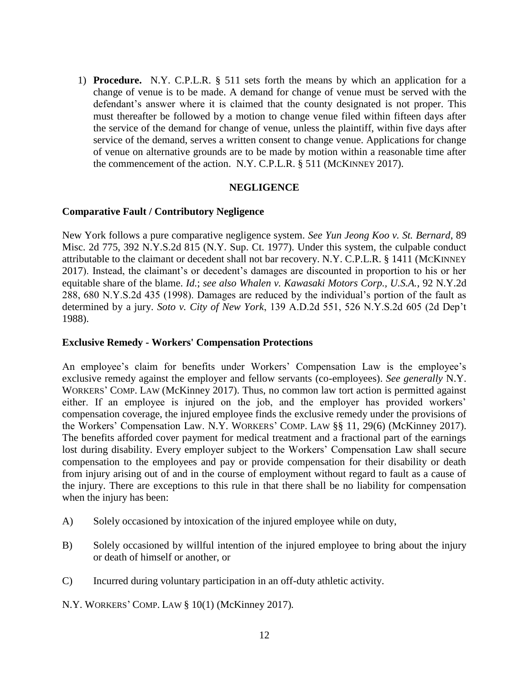1) **Procedure.** N.Y. C.P.L.R. § 511 sets forth the means by which an application for a change of venue is to be made. A demand for change of venue must be served with the defendant's answer where it is claimed that the county designated is not proper. This must thereafter be followed by a motion to change venue filed within fifteen days after the service of the demand for change of venue, unless the plaintiff, within five days after service of the demand, serves a written consent to change venue. Applications for change of venue on alternative grounds are to be made by motion within a reasonable time after the commencement of the action. N.Y. C.P.L.R. § 511 (MCKINNEY 2017).

#### **NEGLIGENCE**

#### **Comparative Fault / Contributory Negligence**

New York follows a pure comparative negligence system. *See Yun Jeong Koo v. St. Bernard*, 89 Misc. 2d 775, 392 N.Y.S.2d 815 (N.Y. Sup. Ct. 1977). Under this system, the culpable conduct attributable to the claimant or decedent shall not bar recovery. N.Y. C.P.L.R. § 1411 (MCKINNEY 2017). Instead, the claimant's or decedent's damages are discounted in proportion to his or her equitable share of the blame. *Id.*; *see also Whalen v. Kawasaki Motors Corp., U.S.A.*, 92 N.Y.2d 288, 680 N.Y.S.2d 435 (1998). Damages are reduced by the individual's portion of the fault as determined by a jury. *Soto v. City of New York*, 139 A.D.2d 551, 526 N.Y.S.2d 605 (2d Dep't 1988).

#### **Exclusive Remedy - Workers' Compensation Protections**

An employee's claim for benefits under Workers' Compensation Law is the employee's exclusive remedy against the employer and fellow servants (co-employees). *See generally* N.Y. WORKERS' COMP. LAW (McKinney 2017). Thus, no common law tort action is permitted against either. If an employee is injured on the job, and the employer has provided workers' compensation coverage, the injured employee finds the exclusive remedy under the provisions of the Workers' Compensation Law. N.Y. WORKERS' COMP. LAW §§ 11, 29(6) (McKinney 2017). The benefits afforded cover payment for medical treatment and a fractional part of the earnings lost during disability. Every employer subject to the Workers' Compensation Law shall secure compensation to the employees and pay or provide compensation for their disability or death from injury arising out of and in the course of employment without regard to fault as a cause of the injury. There are exceptions to this rule in that there shall be no liability for compensation when the injury has been:

- A) Solely occasioned by intoxication of the injured employee while on duty,
- B) Solely occasioned by willful intention of the injured employee to bring about the injury or death of himself or another, or
- C) Incurred during voluntary participation in an off-duty athletic activity.

N.Y. WORKERS' COMP. LAW § 10(1) (McKinney 2017)*.*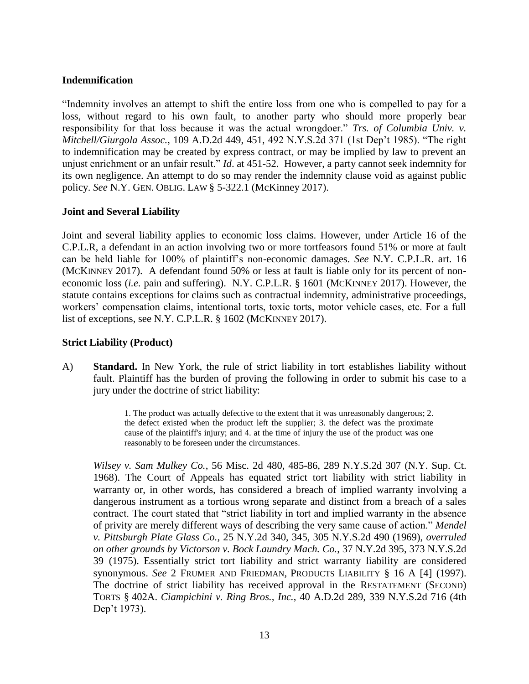## **Indemnification**

"Indemnity involves an attempt to shift the entire loss from one who is compelled to pay for a loss, without regard to his own fault, to another party who should more properly bear responsibility for that loss because it was the actual wrongdoer." *Trs. of Columbia Univ. v. Mitchell/Giurgola Assoc.*, 109 A.D.2d 449, 451, 492 N.Y.S.2d 371 (1st Dep't 1985). "The right to indemnification may be created by express contract, or may be implied by law to prevent an unjust enrichment or an unfair result." *Id*. at 451-52. However, a party cannot seek indemnity for its own negligence. An attempt to do so may render the indemnity clause void as against public policy. *See* N.Y. GEN. OBLIG. LAW § 5-322.1 (McKinney 2017).

# **Joint and Several Liability**

Joint and several liability applies to economic loss claims. However, under Article 16 of the C.P.L.R, a defendant in an action involving two or more tortfeasors found 51% or more at fault can be held liable for 100% of plaintiff's non-economic damages. *See* N.Y. C.P.L.R. art. 16 (MCKINNEY 2017). A defendant found 50% or less at fault is liable only for its percent of noneconomic loss (*i.e.* pain and suffering). N.Y. C.P.L.R. § 1601 (MCKINNEY 2017). However, the statute contains exceptions for claims such as contractual indemnity, administrative proceedings, workers' compensation claims, intentional torts, toxic torts, motor vehicle cases, etc. For a full list of exceptions, see N.Y. C.P.L.R. § 1602 (MCKINNEY 2017).

## **Strict Liability (Product)**

A) **Standard.** In New York, the rule of strict liability in tort establishes liability without fault. Plaintiff has the burden of proving the following in order to submit his case to a jury under the doctrine of strict liability:

> 1. The product was actually defective to the extent that it was unreasonably dangerous; 2. the defect existed when the product left the supplier; 3. the defect was the proximate cause of the plaintiff's injury; and 4. at the time of injury the use of the product was one reasonably to be foreseen under the circumstances.

*Wilsey v. Sam Mulkey Co.*, 56 Misc. 2d 480, 485-86, 289 N.Y.S.2d 307 (N.Y. Sup. Ct. 1968). The Court of Appeals has equated strict tort liability with strict liability in warranty or, in other words, has considered a breach of implied warranty involving a dangerous instrument as a tortious wrong separate and distinct from a breach of a sales contract. The court stated that "strict liability in tort and implied warranty in the absence of privity are merely different ways of describing the very same cause of action." *Mendel v. Pittsburgh Plate Glass Co.*, 25 N.Y.2d 340, 345, 305 N.Y.S.2d 490 (1969), *overruled on other grounds by Victorson v. Bock Laundry Mach. Co.*, 37 N.Y.2d 395, 373 N.Y.S.2d 39 (1975). Essentially strict tort liability and strict warranty liability are considered synonymous. *See* 2 FRUMER AND FRIEDMAN*,* PRODUCTS LIABILITY § 16 A [4] (1997). The doctrine of strict liability has received approval in the RESTATEMENT (SECOND) TORTS § 402A. *Ciampichini v. Ring Bros., Inc.*, 40 A.D.2d 289, 339 N.Y.S.2d 716 (4th Dep't 1973).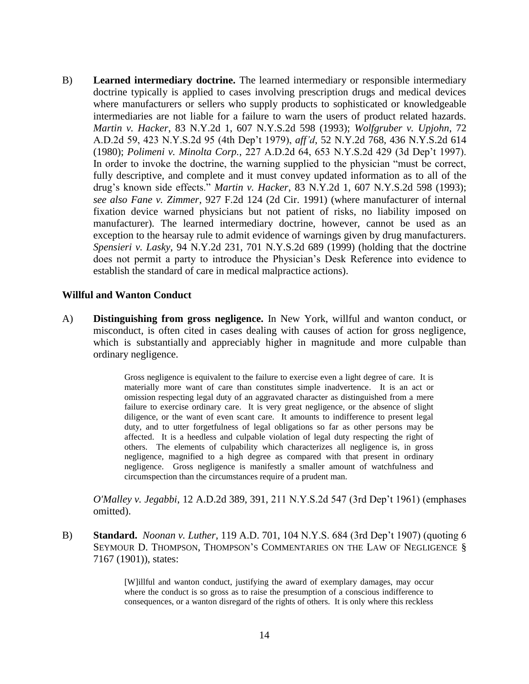B) **Learned intermediary doctrine.** The learned intermediary or responsible intermediary doctrine typically is applied to cases involving prescription drugs and medical devices where manufacturers or sellers who supply products to sophisticated or knowledgeable intermediaries are not liable for a failure to warn the users of product related hazards. *Martin v. Hacker*, 83 N.Y.2d 1, 607 N.Y.S.2d 598 (1993); *Wolfgruber v. Upjohn*, 72 A.D.2d 59, 423 N.Y.S.2d 95 (4th Dep't 1979), *aff'd*, 52 N.Y.2d 768, 436 N.Y.S.2d 614 (1980); *Polimeni v. Minolta Corp.*, 227 A.D.2d 64, 653 N.Y.S.2d 429 (3d Dep't 1997). In order to invoke the doctrine, the warning supplied to the physician "must be correct, fully descriptive, and complete and it must convey updated information as to all of the drug's known side effects." *Martin v. Hacker*, 83 N.Y.2d 1, 607 N.Y.S.2d 598 (1993); *see also Fane v. Zimmer*, 927 F.2d 124 (2d Cir. 1991) (where manufacturer of internal fixation device warned physicians but not patient of risks, no liability imposed on manufacturer). The learned intermediary doctrine, however, cannot be used as an exception to the hearsay rule to admit evidence of warnings given by drug manufacturers. *Spensieri v. Lasky*, 94 N.Y.2d 231, 701 N.Y.S.2d 689 (1999) (holding that the doctrine does not permit a party to introduce the Physician's Desk Reference into evidence to establish the standard of care in medical malpractice actions).

#### **Willful and Wanton Conduct**

A) **Distinguishing from gross negligence.** In New York, willful and wanton conduct, or misconduct, is often cited in cases dealing with causes of action for gross negligence, which is substantially and appreciably higher in magnitude and more culpable than ordinary negligence.

> Gross negligence is equivalent to the failure to exercise even a light degree of care. It is materially more want of care than constitutes simple inadvertence. It is an act or omission respecting legal duty of an aggravated character as distinguished from a mere failure to exercise ordinary care. It is very great negligence, or the absence of slight diligence, or the want of even scant care. It amounts to indifference to present legal duty, and to utter forgetfulness of legal obligations so far as other persons may be affected. It is a heedless and culpable violation of legal duty respecting the right of others. The elements of culpability which characterizes all negligence is, in gross negligence, magnified to a high degree as compared with that present in ordinary negligence. Gross negligence is manifestly a smaller amount of watchfulness and circumspection than the circumstances require of a prudent man.

*O'Malley v. Jegabbi*, 12 A.D.2d 389, 391, 211 N.Y.S.2d 547 (3rd Dep't 1961) (emphases omitted).

B) **Standard.** *Noonan v. Luther*, 119 A.D. 701, 104 N.Y.S. 684 (3rd Dep't 1907) (quoting 6 SEYMOUR D. THOMPSON, THOMPSON'S COMMENTARIES ON THE LAW OF NEGLIGENCE § 7167 (1901)), states:

> [W]illful and wanton conduct, justifying the award of exemplary damages, may occur where the conduct is so gross as to raise the presumption of a conscious indifference to consequences, or a wanton disregard of the rights of others. It is only where this reckless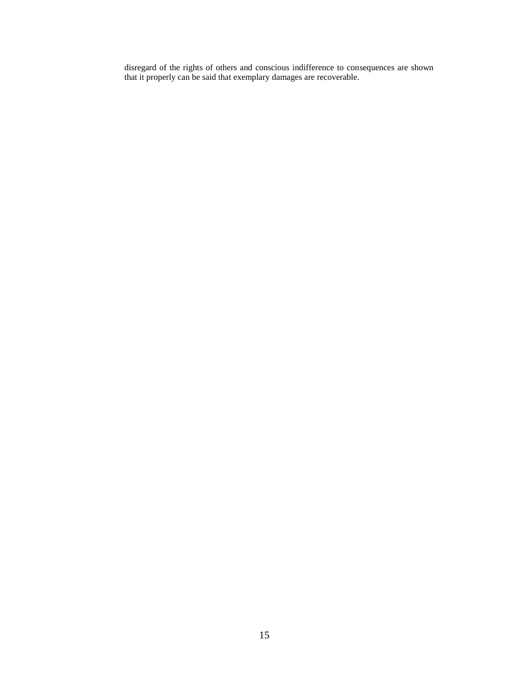disregard of the rights of others and conscious indifference to consequences are shown that it properly can be said that exemplary damages are recoverable.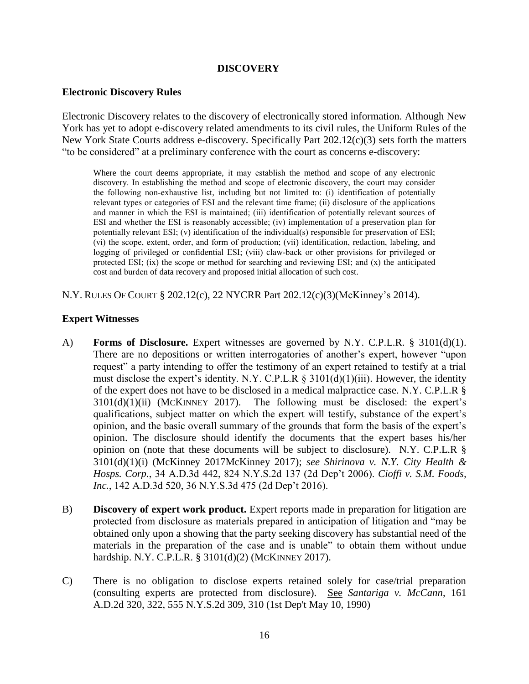## **DISCOVERY**

#### **Electronic Discovery Rules**

Electronic Discovery relates to the discovery of electronically stored information. Although New York has yet to adopt e-discovery related amendments to its civil rules, the Uniform Rules of the New York State Courts address e-discovery. Specifically Part 202.12(c)(3) sets forth the matters "to be considered" at a preliminary conference with the court as concerns e-discovery:

Where the court deems appropriate, it may establish the method and scope of any electronic discovery. In establishing the method and scope of electronic discovery, the court may consider the following non-exhaustive list, including but not limited to: (i) identification of potentially relevant types or categories of ESI and the relevant time frame; (ii) disclosure of the applications and manner in which the ESI is maintained; (iii) identification of potentially relevant sources of ESI and whether the ESI is reasonably accessible; (iv) implementation of a preservation plan for potentially relevant ESI; (v) identification of the individual(s) responsible for preservation of ESI; (vi) the scope, extent, order, and form of production; (vii) identification, redaction, labeling, and logging of privileged or confidential ESI; (viii) claw-back or other provisions for privileged or protected ESI; (ix) the scope or method for searching and reviewing ESI; and  $(x)$  the anticipated cost and burden of data recovery and proposed initial allocation of such cost.

N.Y. RULES OF COURT § 202.12(c), 22 NYCRR Part 202.12(c)(3)(McKinney's 2014).

#### **Expert Witnesses**

- A) **Forms of Disclosure.** Expert witnesses are governed by N.Y. C.P.L.R. § 3101(d)(1). There are no depositions or written interrogatories of another's expert, however "upon request" a party intending to offer the testimony of an expert retained to testify at a trial must disclose the expert's identity. N.Y. C.P.L.R  $\S$  3101(d)(1)(iii). However, the identity of the expert does not have to be disclosed in a medical malpractice case. N.Y. C.P.L.R §  $3101(d)(1)(ii)$  (MCKINNEY 2017). The following must be disclosed: the expert's qualifications, subject matter on which the expert will testify, substance of the expert's opinion, and the basic overall summary of the grounds that form the basis of the expert's opinion. The disclosure should identify the documents that the expert bases his/her opinion on (note that these documents will be subject to disclosure). N.Y. C.P.L.R § 3101(d)(1)(i) (McKinney 2017McKinney 2017); *see Shirinova v. N.Y. City Health & Hosps. Corp.*, 34 A.D.3d 442, 824 N.Y.S.2d 137 (2d Dep't 2006). *Cioffi v. S.M. Foods, Inc.*, 142 A.D.3d 520, 36 N.Y.S.3d 475 (2d Dep't 2016).
- B) **Discovery of expert work product.** Expert reports made in preparation for litigation are protected from disclosure as materials prepared in anticipation of litigation and "may be obtained only upon a showing that the party seeking discovery has substantial need of the materials in the preparation of the case and is unable" to obtain them without undue hardship. N.Y. C.P.L.R. § 3101(d)(2) (MCKINNEY 2017).
- C) There is no obligation to disclose experts retained solely for case/trial preparation (consulting experts are protected from disclosure). See *Santariga v. McCann*, 161 A.D.2d 320, 322, 555 N.Y.S.2d 309, 310 (1st Dep't May 10, 1990)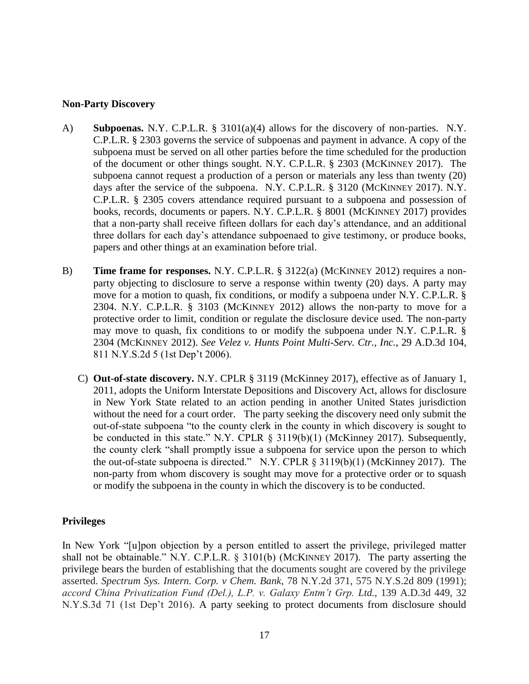### **Non-Party Discovery**

- A) **Subpoenas.** N.Y. C.P.L.R. § 3101(a)(4) allows for the discovery of non-parties. N.Y. C.P.L.R. § 2303 governs the service of subpoenas and payment in advance. A copy of the subpoena must be served on all other parties before the time scheduled for the production of the document or other things sought. N.Y. C.P.L.R. § 2303 (MCKINNEY 2017). The subpoena cannot request a production of a person or materials any less than twenty (20) days after the service of the subpoena. N.Y. C.P.L.R. § 3120 (MCKINNEY 2017). N.Y. C.P.L.R. § 2305 covers attendance required pursuant to a subpoena and possession of books, records, documents or papers. N.Y. C.P.L.R. § 8001 (MCKINNEY 2017) provides that a non-party shall receive fifteen dollars for each day's attendance, and an additional three dollars for each day's attendance subpoenaed to give testimony, or produce books, papers and other things at an examination before trial.
- B) **Time frame for responses.** N.Y. C.P.L.R. § 3122(a) (MCKINNEY 2012) requires a nonparty objecting to disclosure to serve a response within twenty (20) days. A party may move for a motion to quash, fix conditions, or modify a subpoena under N.Y. C.P.L.R. § 2304. N.Y. C.P.L.R. § 3103 (MCKINNEY 2012) allows the non-party to move for a protective order to limit, condition or regulate the disclosure device used. The non-party may move to quash, fix conditions to or modify the subpoena under N.Y. C.P.L.R. § 2304 (MCKINNEY 2012). *See Velez v. Hunts Point Multi-Serv. Ctr., Inc.*, 29 A.D.3d 104, 811 N.Y.S.2d 5 (1st Dep't 2006).
	- C) **Out-of-state discovery.** N.Y. CPLR § 3119 (McKinney 2017), effective as of January 1, 2011, adopts the Uniform Interstate Depositions and Discovery Act, allows for disclosure in New York State related to an action pending in another United States jurisdiction without the need for a court order. The party seeking the discovery need only submit the out-of-state subpoena "to the county clerk in the county in which discovery is sought to be conducted in this state." N.Y. CPLR § 3119(b)(1) (McKinney 2017). Subsequently, the county clerk "shall promptly issue a subpoena for service upon the person to which the out-of-state subpoena is directed." N.Y. CPLR § 3119(b)(1) (McKinney 2017). The non-party from whom discovery is sought may move for a protective order or to squash or modify the subpoena in the county in which the discovery is to be conducted.

#### **Privileges**

In New York "[u]pon objection by a person entitled to assert the privilege, privileged matter shall not be obtainable." N.Y. C.P.L.R. § 3101(b) (MCKINNEY 2017). The party asserting the privilege bears the burden of establishing that the documents sought are covered by the privilege asserted. *Spectrum Sys. Intern. Corp. v Chem. Bank*, 78 N.Y.2d 371, 575 N.Y.S.2d 809 (1991); *accord China Privatization Fund (Del.), L.P. v. Galaxy Entm't Grp. Ltd.*, 139 A.D.3d 449, 32 N.Y.S.3d 71 (1st Dep't 2016). A party seeking to protect documents from disclosure should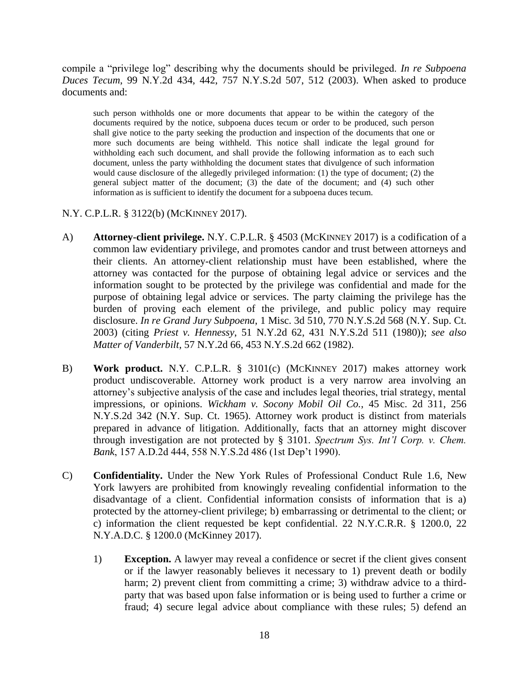compile a "privilege log" describing why the documents should be privileged. *In re Subpoena Duces Tecum*, 99 N.Y.2d 434, 442, 757 N.Y.S.2d 507, 512 (2003). When asked to produce documents and:

such person withholds one or more documents that appear to be within the category of the documents required by the notice, subpoena duces tecum or order to be produced, such person shall give notice to the party seeking the production and inspection of the documents that one or more such documents are being withheld. This notice shall indicate the legal ground for withholding each such document, and shall provide the following information as to each such document, unless the party withholding the document states that divulgence of such information would cause disclosure of the allegedly privileged information: (1) the type of document; (2) the general subject matter of the document; (3) the date of the document; and (4) such other information as is sufficient to identify the document for a subpoena duces tecum.

#### N.Y. C.P.L.R. § 3122(b) (MCKINNEY 2017).

- A) **Attorney-client privilege.** N.Y. C.P.L.R. § 4503 (MCKINNEY 2017) is a codification of a common law evidentiary privilege, and promotes candor and trust between attorneys and their clients. An attorney-client relationship must have been established, where the attorney was contacted for the purpose of obtaining legal advice or services and the information sought to be protected by the privilege was confidential and made for the purpose of obtaining legal advice or services. The party claiming the privilege has the burden of proving each element of the privilege, and public policy may require disclosure. *In re Grand Jury Subpoena*, 1 Misc. 3d 510, 770 N.Y.S.2d 568 (N.Y. Sup. Ct. 2003) (citing *Priest v. Hennessy*, 51 N.Y.2d 62, 431 N.Y.S.2d 511 (1980)); *see also Matter of Vanderbilt*, 57 N.Y.2d 66, 453 N.Y.S.2d 662 (1982).
- B) **Work product.** N.Y. C.P.L.R. § 3101(c) (MCKINNEY 2017) makes attorney work product undiscoverable. Attorney work product is a very narrow area involving an attorney's subjective analysis of the case and includes legal theories, trial strategy, mental impressions, or opinions. *Wickham v. Socony Mobil Oil Co.*, 45 Misc. 2d 311, 256 N.Y.S.2d 342 (N.Y. Sup. Ct. 1965). Attorney work product is distinct from materials prepared in advance of litigation. Additionally, facts that an attorney might discover through investigation are not protected by § 3101. *Spectrum Sys. Int'l Corp. v. Chem. Bank*, 157 A.D.2d 444, 558 N.Y.S.2d 486 (1st Dep't 1990).
- C) **Confidentiality.** Under the New York Rules of Professional Conduct Rule 1.6, New York lawyers are prohibited from knowingly revealing confidential information to the disadvantage of a client. Confidential information consists of information that is a) protected by the attorney-client privilege; b) embarrassing or detrimental to the client; or c) information the client requested be kept confidential. 22 N.Y.C.R.R. § 1200.0, 22 N.Y.A.D.C. § 1200.0 (McKinney 2017).
	- 1) **Exception.** A lawyer may reveal a confidence or secret if the client gives consent or if the lawyer reasonably believes it necessary to 1) prevent death or bodily harm; 2) prevent client from committing a crime; 3) withdraw advice to a thirdparty that was based upon false information or is being used to further a crime or fraud; 4) secure legal advice about compliance with these rules; 5) defend an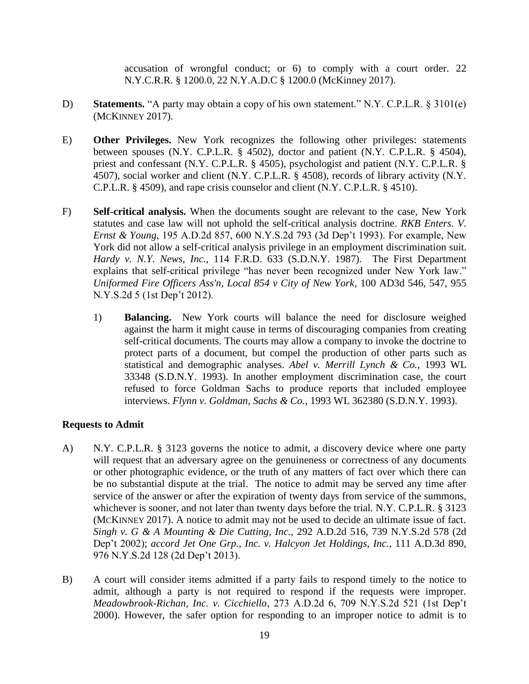accusation of wrongful conduct; or 6) to comply with a court order. 22 N.Y.C.R.R. § 1200.0, 22 N.Y.A.D.C § 1200.0 (McKinney 2017).

- D) **Statements.** "A party may obtain a copy of his own statement." N.Y. C.P.L.R. § 3101(e) (MCKINNEY 2017).
- E) **Other Privileges.** New York recognizes the following other privileges: statements between spouses (N.Y. C.P.L.R. § 4502), doctor and patient (N.Y. C.P.L.R. § 4504), priest and confessant (N.Y. C.P.L.R. § 4505), psychologist and patient (N.Y. C.P.L.R. § 4507), social worker and client (N.Y. C.P.L.R. § 4508), records of library activity (N.Y. C.P.L.R. § 4509), and rape crisis counselor and client (N.Y. C.P.L.R. § 4510).
- F) **Self-critical analysis.** When the documents sought are relevant to the case, New York statutes and case law will not uphold the self-critical analysis doctrine. *RKB Enters. V. Ernst & Young*, 195 A.D.2d 857, 600 N.Y.S.2d 793 (3d Dep't 1993). For example, New York did not allow a self-critical analysis privilege in an employment discrimination suit. *Hardy v. N.Y. News, Inc.*, 114 F.R.D. 633 (S.D.N.Y. 1987). The First Department explains that self-critical privilege "has never been recognized under New York law." *Uniformed Fire Officers Ass'n, Local 854 v City of New York*, 100 AD3d 546, 547, 955 N.Y.S.2d 5 (1st Dep't 2012).
	- 1) **Balancing.** New York courts will balance the need for disclosure weighed against the harm it might cause in terms of discouraging companies from creating self-critical documents. The courts may allow a company to invoke the doctrine to protect parts of a document, but compel the production of other parts such as statistical and demographic analyses. *Abel v. Merrill Lynch & Co.*, 1993 WL 33348 (S.D.N.Y. 1993). In another employment discrimination case, the court refused to force Goldman Sachs to produce reports that included employee interviews. *Flynn v. Goldman, Sachs & Co.*, 1993 WL 362380 (S.D.N.Y. 1993).

## **Requests to Admit**

- A) N.Y. C.P.L.R. § 3123 governs the notice to admit, a discovery device where one party will request that an adversary agree on the genuineness or correctness of any documents or other photographic evidence, or the truth of any matters of fact over which there can be no substantial dispute at the trial. The notice to admit may be served any time after service of the answer or after the expiration of twenty days from service of the summons, whichever is sooner, and not later than twenty days before the trial. N.Y. C.P.L.R. § 3123 (MCKINNEY 2017). A notice to admit may not be used to decide an ultimate issue of fact. *Singh v. G & A Mounting & Die Cutting, Inc.,* 292 A.D.2d 516, 739 N.Y.S.2d 578 (2d Dep't 2002); *accord Jet One Grp., Inc. v. Halcyon Jet Holdings, Inc.*, 111 A.D.3d 890, 976 N.Y.S.2d 128 (2d Dep't 2013).
- B) A court will consider items admitted if a party fails to respond timely to the notice to admit, although a party is not required to respond if the requests were improper. *Meadowbrook-Richan, Inc. v. Cicchiello*, 273 A.D.2d 6, 709 N.Y.S.2d 521 (1st Dep't 2000). However, the safer option for responding to an improper notice to admit is to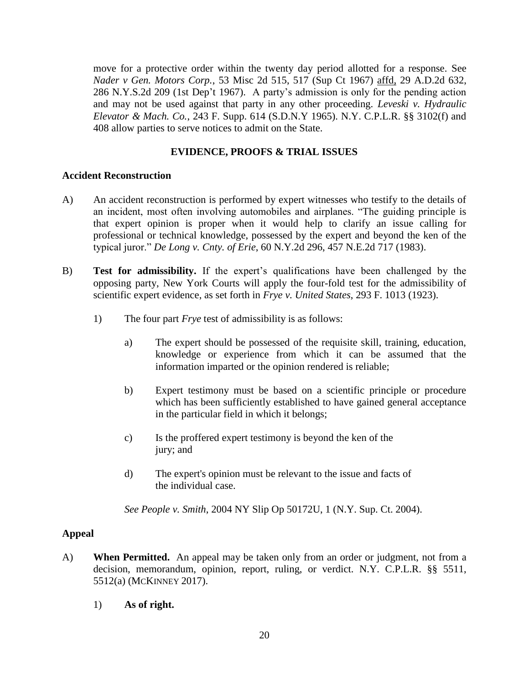move for a protective order within the twenty day period allotted for a response. See *Nader v Gen. Motors Corp.*, 53 Misc 2d 515, 517 (Sup Ct 1967) affd, 29 A.D.2d 632, 286 N.Y.S.2d 209 (1st Dep't 1967). A party's admission is only for the pending action and may not be used against that party in any other proceeding. *Leveski v. Hydraulic Elevator & Mach. Co.*, 243 F. Supp. 614 (S.D.N.Y 1965). N.Y. C.P.L.R. §§ 3102(f) and 408 allow parties to serve notices to admit on the State.

# **EVIDENCE, PROOFS & TRIAL ISSUES**

## **Accident Reconstruction**

- A) An accident reconstruction is performed by expert witnesses who testify to the details of an incident, most often involving automobiles and airplanes. "The guiding principle is that expert opinion is proper when it would help to clarify an issue calling for professional or technical knowledge, possessed by the expert and beyond the ken of the typical juror." *De Long v. Cnty. of Erie*, 60 N.Y.2d 296, 457 N.E.2d 717 (1983).
- B) **Test for admissibility.** If the expert's qualifications have been challenged by the opposing party, New York Courts will apply the four-fold test for the admissibility of scientific expert evidence, as set forth in *Frye v. United States*, 293 F. 1013 (1923).
	- 1) The four part *Frye* test of admissibility is as follows:
		- a) The expert should be possessed of the requisite skill, training, education, knowledge or experience from which it can be assumed that the information imparted or the opinion rendered is reliable;
		- b) Expert testimony must be based on a scientific principle or procedure which has been sufficiently established to have gained general acceptance in the particular field in which it belongs;
		- c) Is the proffered expert testimony is beyond the ken of the jury; and
		- d) The expert's opinion must be relevant to the issue and facts of the individual case.

*See People v. Smith*, 2004 NY Slip Op 50172U, 1 (N.Y. Sup. Ct. 2004).

## **Appeal**

- A) **When Permitted.** An appeal may be taken only from an order or judgment, not from a decision, memorandum, opinion, report, ruling, or verdict. N.Y. C.P.L.R. §§ 5511, 5512(a) (MCKINNEY 2017).
	- 1) **As of right.**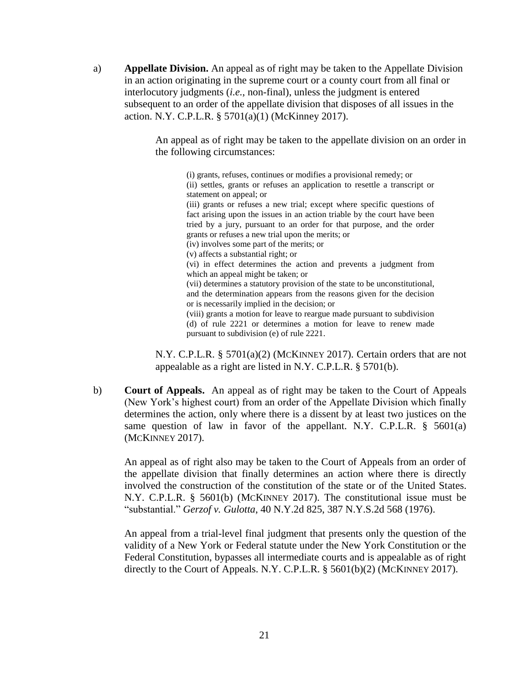a) **Appellate Division.** An appeal as of right may be taken to the Appellate Division in an action originating in the supreme court or a county court from all final or interlocutory judgments (*i.e.*, non-final), unless the judgment is entered subsequent to an order of the appellate division that disposes of all issues in the action. N.Y. C.P.L.R. § 5701(a)(1) (McKinney 2017).

> An appeal as of right may be taken to the appellate division on an order in the following circumstances:

(i) grants, refuses, continues or modifies a provisional remedy; or (ii) settles, grants or refuses an application to resettle a transcript or statement on appeal; or (iii) grants or refuses a new trial; except where specific questions of fact arising upon the issues in an action triable by the court have been tried by a jury, pursuant to an order for that purpose, and the order grants or refuses a new trial upon the merits; or (iv) involves some part of the merits; or (v) affects a substantial right; or (vi) in effect determines the action and prevents a judgment from which an appeal might be taken; or (vii) determines a statutory provision of the state to be unconstitutional, and the determination appears from the reasons given for the decision or is necessarily implied in the decision; or (viii) grants a motion for leave to reargue made pursuant to subdivision (d) of rule 2221 or determines a motion for leave to renew made pursuant to subdivision (e) of rule 2221.

N.Y. C.P.L.R. § 5701(a)(2) (MCKINNEY 2017). Certain orders that are not appealable as a right are listed in N.Y. C.P.L.R. § 5701(b).

b) **Court of Appeals.** An appeal as of right may be taken to the Court of Appeals (New York's highest court) from an order of the Appellate Division which finally determines the action, only where there is a dissent by at least two justices on the same question of law in favor of the appellant. N.Y. C.P.L.R. § 5601(a) (MCKINNEY 2017).

An appeal as of right also may be taken to the Court of Appeals from an order of the appellate division that finally determines an action where there is directly involved the construction of the constitution of the state or of the United States. N.Y. C.P.L.R. § 5601(b) (MCKINNEY 2017). The constitutional issue must be "substantial." *Gerzof v. Gulotta*, 40 N.Y.2d 825, 387 N.Y.S.2d 568 (1976).

An appeal from a trial-level final judgment that presents only the question of the validity of a New York or Federal statute under the New York Constitution or the Federal Constitution, bypasses all intermediate courts and is appealable as of right directly to the Court of Appeals. N.Y. C.P.L.R. § 5601(b)(2) (MCKINNEY 2017).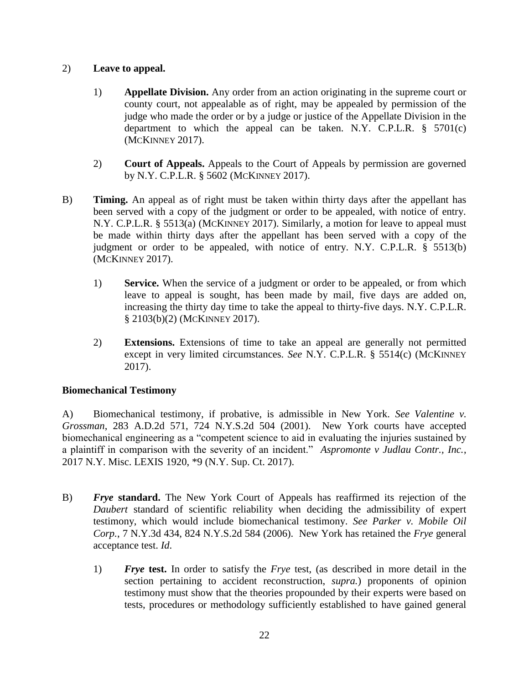# 2) **Leave to appeal.**

- 1) **Appellate Division.** Any order from an action originating in the supreme court or county court, not appealable as of right, may be appealed by permission of the judge who made the order or by a judge or justice of the Appellate Division in the department to which the appeal can be taken. N.Y. C.P.L.R. § 5701(c) (MCKINNEY 2017).
- 2) **Court of Appeals.** Appeals to the Court of Appeals by permission are governed by N.Y. C.P.L.R. § 5602 (MCKINNEY 2017).
- B) **Timing.** An appeal as of right must be taken within thirty days after the appellant has been served with a copy of the judgment or order to be appealed, with notice of entry. N.Y. C.P.L.R. § 5513(a) (MCKINNEY 2017). Similarly, a motion for leave to appeal must be made within thirty days after the appellant has been served with a copy of the judgment or order to be appealed, with notice of entry. N.Y. C.P.L.R. § 5513(b) (MCKINNEY 2017).
	- 1) **Service.** When the service of a judgment or order to be appealed, or from which leave to appeal is sought, has been made by mail, five days are added on, increasing the thirty day time to take the appeal to thirty-five days. N.Y. C.P.L.R. § 2103(b)(2) (MCKINNEY 2017).
	- 2) **Extensions.** Extensions of time to take an appeal are generally not permitted except in very limited circumstances. *See* N.Y. C.P.L.R. § 5514(c) (MCKINNEY 2017).

# **Biomechanical Testimony**

A) Biomechanical testimony, if probative, is admissible in New York. *See Valentine v. Grossman*, 283 A.D.2d 571, 724 N.Y.S.2d 504 (2001). New York courts have accepted biomechanical engineering as a "competent science to aid in evaluating the injuries sustained by a plaintiff in comparison with the severity of an incident." *Aspromonte v Judlau Contr., Inc.*, 2017 N.Y. Misc. LEXIS 1920, \*9 (N.Y. Sup. Ct. 2017).

- B) *Frye* **standard.** The New York Court of Appeals has reaffirmed its rejection of the *Daubert* standard of scientific reliability when deciding the admissibility of expert testimony, which would include biomechanical testimony. *See Parker v. Mobile Oil Corp.*, 7 N.Y.3d 434, 824 N.Y.S.2d 584 (2006). New York has retained the *Frye* general acceptance test. *Id*.
	- 1) *Frye* **test.** In order to satisfy the *Frye* test, (as described in more detail in the section pertaining to accident reconstruction, *supra.*) proponents of opinion testimony must show that the theories propounded by their experts were based on tests, procedures or methodology sufficiently established to have gained general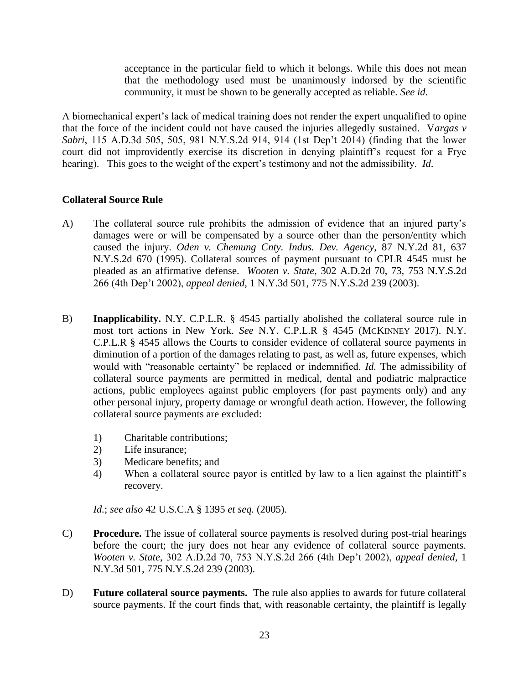acceptance in the particular field to which it belongs. While this does not mean that the methodology used must be unanimously indorsed by the scientific community, it must be shown to be generally accepted as reliable. *See id.*

A biomechanical expert's lack of medical training does not render the expert unqualified to opine that the force of the incident could not have caused the injuries allegedly sustained. V*argas v Sabri*, 115 A.D.3d 505, 505, 981 N.Y.S.2d 914, 914 (1st Dep't 2014) (finding that the lower court did not improvidently exercise its discretion in denying plaintiff's request for a Frye hearing). This goes to the weight of the expert's testimony and not the admissibility. *Id*.

# **Collateral Source Rule**

- A) The collateral source rule prohibits the admission of evidence that an injured party's damages were or will be compensated by a source other than the person/entity which caused the injury. *Oden v. Chemung Cnty. Indus. Dev. Agency*, 87 N.Y.2d 81, 637 N.Y.S.2d 670 (1995). Collateral sources of payment pursuant to CPLR 4545 must be pleaded as an affirmative defense. *Wooten v. State*, 302 A.D.2d 70, 73, 753 N.Y.S.2d 266 (4th Dep't 2002), *appeal denied*, 1 N.Y.3d 501, 775 N.Y.S.2d 239 (2003).
- B) **Inapplicability.** N.Y. C.P.L.R. § 4545 partially abolished the collateral source rule in most tort actions in New York. *See* N.Y. C.P.L.R § 4545 (MCKINNEY 2017). N.Y. C.P.L.R § 4545 allows the Courts to consider evidence of collateral source payments in diminution of a portion of the damages relating to past, as well as, future expenses, which would with "reasonable certainty" be replaced or indemnified. *Id.* The admissibility of collateral source payments are permitted in medical, dental and podiatric malpractice actions, public employees against public employers (for past payments only) and any other personal injury, property damage or wrongful death action. However, the following collateral source payments are excluded:
	- 1) Charitable contributions;
	- 2) Life insurance;
	- 3) Medicare benefits; and
	- 4) When a collateral source payor is entitled by law to a lien against the plaintiff's recovery.

*Id.*; *see also* 42 U.S.C.A § 1395 *et seq.* (2005).

- C) **Procedure.** The issue of collateral source payments is resolved during post-trial hearings before the court; the jury does not hear any evidence of collateral source payments. *Wooten v. State*, 302 A.D.2d 70, 753 N.Y.S.2d 266 (4th Dep't 2002), *appeal denied*, 1 N.Y.3d 501, 775 N.Y.S.2d 239 (2003).
- D) **Future collateral source payments.** The rule also applies to awards for future collateral source payments. If the court finds that, with reasonable certainty, the plaintiff is legally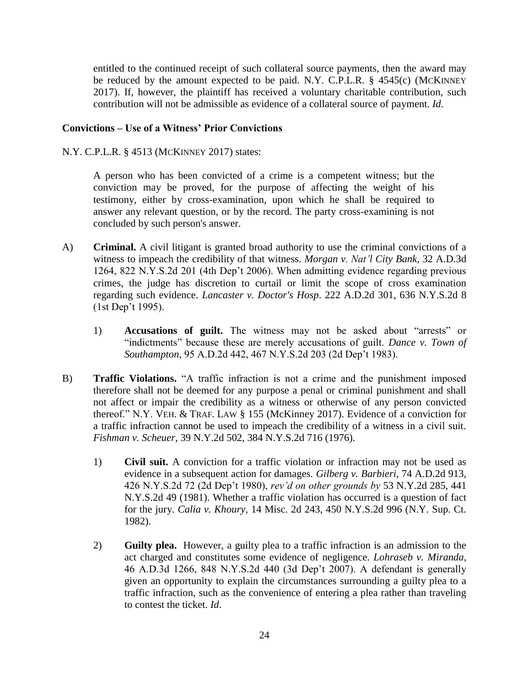entitled to the continued receipt of such collateral source payments, then the award may be reduced by the amount expected to be paid. N.Y. C.P.L.R. § 4545(c) (MCKINNEY 2017). If, however, the plaintiff has received a voluntary charitable contribution, such contribution will not be admissible as evidence of a collateral source of payment. *Id.* 

## **Convictions – Use of a Witness' Prior Convictions**

N.Y. C.P.L.R. § 4513 (MCKINNEY 2017) states:

A person who has been convicted of a crime is a competent witness; but the conviction may be proved, for the purpose of affecting the weight of his testimony, either by cross-examination, upon which he shall be required to answer any relevant question, or by the record. The party cross-examining is not concluded by such person's answer.

- A) **Criminal.** A civil litigant is granted broad authority to use the criminal convictions of a witness to impeach the credibility of that witness. *Morgan v. Nat'l City Bank*, 32 A.D.3d 1264, 822 N.Y.S.2d 201 (4th Dep't 2006). When admitting evidence regarding previous crimes, the judge has discretion to curtail or limit the scope of cross examination regarding such evidence. *Lancaster v. Doctor's Hosp*. 222 A.D.2d 301, 636 N.Y.S.2d 8 (1st Dep't 1995).
	- 1) **Accusations of guilt.** The witness may not be asked about "arrests" or "indictments" because these are merely accusations of guilt. *Dance v. Town of Southampton*, 95 A.D.2d 442, 467 N.Y.S.2d 203 (2d Dep't 1983).
- B) **Traffic Violations.** "A traffic infraction is not a crime and the punishment imposed therefore shall not be deemed for any purpose a penal or criminal punishment and shall not affect or impair the credibility as a witness or otherwise of any person convicted thereof." N.Y. VEH. & TRAF. LAW § 155 (McKinney 2017). Evidence of a conviction for a traffic infraction cannot be used to impeach the credibility of a witness in a civil suit. *Fishman v. Scheuer*, 39 N.Y.2d 502, 384 N.Y.S.2d 716 (1976).
	- 1) **Civil suit.** A conviction for a traffic violation or infraction may not be used as evidence in a subsequent action for damages. *Gilberg v. Barbieri*, 74 A.D.2d 913, 426 N.Y.S.2d 72 (2d Dep't 1980), *rev'd on other grounds by* 53 N.Y.2d 285, 441 N.Y.S.2d 49 (1981). Whether a traffic violation has occurred is a question of fact for the jury. *Calia v. Khoury*, 14 Misc. 2d 243, 450 N.Y.S.2d 996 (N.Y. Sup. Ct. 1982).
	- 2) **Guilty plea.** However, a guilty plea to a traffic infraction is an admission to the act charged and constitutes some evidence of negligence. *Lohraseb v. Miranda*, 46 A.D.3d 1266, 848 N.Y.S.2d 440 (3d Dep't 2007). A defendant is generally given an opportunity to explain the circumstances surrounding a guilty plea to a traffic infraction, such as the convenience of entering a plea rather than traveling to contest the ticket. *Id*.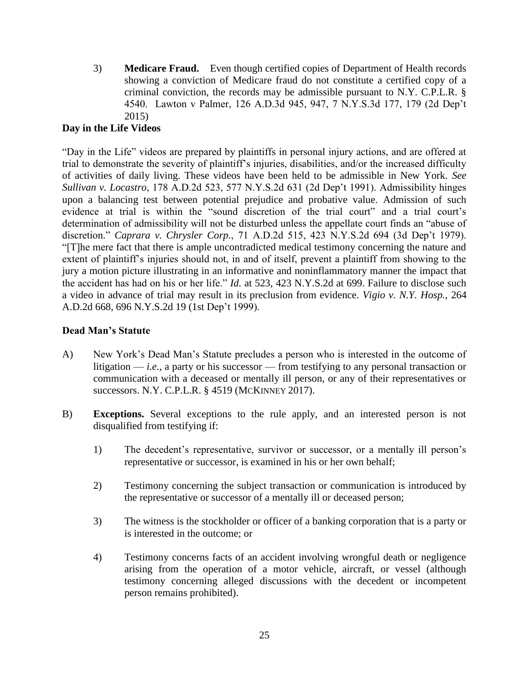3) **Medicare Fraud.** Even though certified copies of Department of Health records showing a conviction of Medicare fraud do not constitute a certified copy of a criminal conviction, the records may be admissible pursuant to N.Y. C.P.L.R. § 4540. Lawton v Palmer, 126 A.D.3d 945, 947, 7 N.Y.S.3d 177, 179 (2d Dep't 2015)

## **Day in the Life Videos**

"Day in the Life" videos are prepared by plaintiffs in personal injury actions, and are offered at trial to demonstrate the severity of plaintiff's injuries, disabilities, and/or the increased difficulty of activities of daily living. These videos have been held to be admissible in New York. *See Sullivan v. Locastro*, 178 A.D.2d 523, 577 N.Y.S.2d 631 (2d Dep't 1991). Admissibility hinges upon a balancing test between potential prejudice and probative value. Admission of such evidence at trial is within the "sound discretion of the trial court" and a trial court's determination of admissibility will not be disturbed unless the appellate court finds an "abuse of discretion." *Caprara v. Chrysler Corp.*, 71 A.D.2d 515, 423 N.Y.S.2d 694 (3d Dep't 1979). "[T]he mere fact that there is ample uncontradicted medical testimony concerning the nature and extent of plaintiff's injuries should not, in and of itself, prevent a plaintiff from showing to the jury a motion picture illustrating in an informative and noninflammatory manner the impact that the accident has had on his or her life." *Id.* at 523, 423 N.Y.S.2d at 699. Failure to disclose such a video in advance of trial may result in its preclusion from evidence. *Vigio v. N.Y. Hosp.*, 264 A.D.2d 668, 696 N.Y.S.2d 19 (1st Dep't 1999).

## **Dead Man's Statute**

- A) New York's Dead Man's Statute precludes a person who is interested in the outcome of litigation — *i.e*., a party or his successor — from testifying to any personal transaction or communication with a deceased or mentally ill person, or any of their representatives or successors. N.Y. C.P.L.R. § 4519 (MCKINNEY 2017).
- B) **Exceptions.** Several exceptions to the rule apply, and an interested person is not disqualified from testifying if:
	- 1) The decedent's representative, survivor or successor, or a mentally ill person's representative or successor, is examined in his or her own behalf;
	- 2) Testimony concerning the subject transaction or communication is introduced by the representative or successor of a mentally ill or deceased person;
	- 3) The witness is the stockholder or officer of a banking corporation that is a party or is interested in the outcome; or
	- 4) Testimony concerns facts of an accident involving wrongful death or negligence arising from the operation of a motor vehicle, aircraft, or vessel (although testimony concerning alleged discussions with the decedent or incompetent person remains prohibited).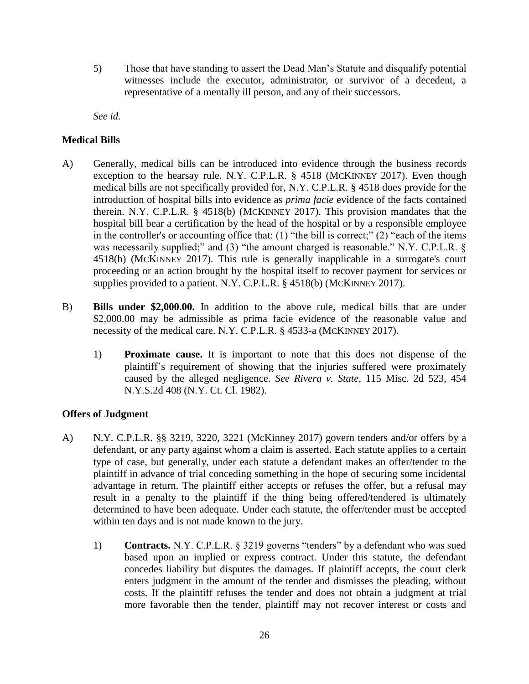5) Those that have standing to assert the Dead Man's Statute and disqualify potential witnesses include the executor, administrator, or survivor of a decedent, a representative of a mentally ill person, and any of their successors.

*See id.* 

# **Medical Bills**

- A) Generally, medical bills can be introduced into evidence through the business records exception to the hearsay rule. N.Y. C.P.L.R. § 4518 (MCKINNEY 2017). Even though medical bills are not specifically provided for, N.Y. C.P.L.R. § 4518 does provide for the introduction of hospital bills into evidence as *prima facie* evidence of the facts contained therein. N.Y. C.P.L.R. § 4518(b) (MCKINNEY 2017). This provision mandates that the hospital bill bear a certification by the head of the hospital or by a responsible employee in the controller's or accounting office that: (1) "the bill is correct;" (2) "each of the items was necessarily supplied;" and (3) "the amount charged is reasonable." N.Y. C.P.L.R. § 4518(b) (MCKINNEY 2017). This rule is generally inapplicable in a surrogate's court proceeding or an action brought by the hospital itself to recover payment for services or supplies provided to a patient. N.Y. C.P.L.R. § 4518(b) (MCKINNEY 2017).
- B) **Bills under \$2,000.00.** In addition to the above rule, medical bills that are under \$2,000.00 may be admissible as prima facie evidence of the reasonable value and necessity of the medical care. N.Y. C.P.L.R. § 4533-a (MCKINNEY 2017).
	- 1) **Proximate cause.** It is important to note that this does not dispense of the plaintiff's requirement of showing that the injuries suffered were proximately caused by the alleged negligence. *See Rivera v. State*, 115 Misc. 2d 523, 454 N.Y.S.2d 408 (N.Y. Ct. Cl. 1982).

# **Offers of Judgment**

- A) N.Y. C.P.L.R. §§ 3219, 3220, 3221 (McKinney 2017) govern tenders and/or offers by a defendant, or any party against whom a claim is asserted. Each statute applies to a certain type of case, but generally, under each statute a defendant makes an offer/tender to the plaintiff in advance of trial conceding something in the hope of securing some incidental advantage in return. The plaintiff either accepts or refuses the offer, but a refusal may result in a penalty to the plaintiff if the thing being offered/tendered is ultimately determined to have been adequate. Under each statute, the offer/tender must be accepted within ten days and is not made known to the jury.
	- 1) **Contracts.** N.Y. C.P.L.R. § 3219 governs "tenders" by a defendant who was sued based upon an implied or express contract. Under this statute, the defendant concedes liability but disputes the damages. If plaintiff accepts, the court clerk enters judgment in the amount of the tender and dismisses the pleading, without costs. If the plaintiff refuses the tender and does not obtain a judgment at trial more favorable then the tender, plaintiff may not recover interest or costs and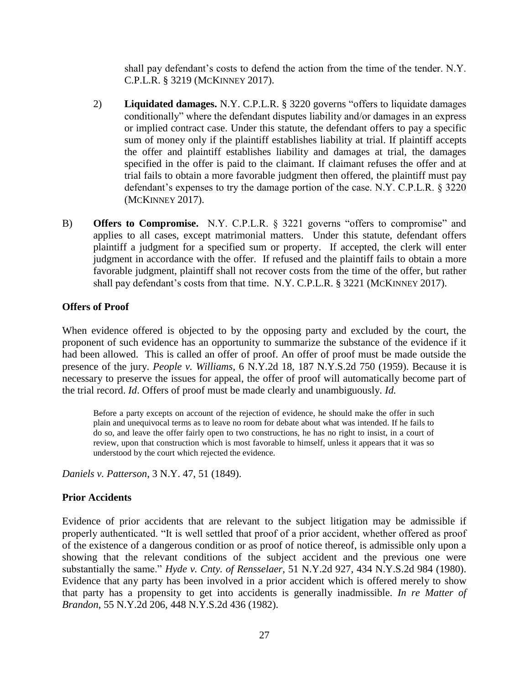shall pay defendant's costs to defend the action from the time of the tender. N.Y. C.P.L.R. § 3219 (MCKINNEY 2017).

- 2) **Liquidated damages.** N.Y. C.P.L.R. § 3220 governs "offers to liquidate damages conditionally" where the defendant disputes liability and/or damages in an express or implied contract case. Under this statute, the defendant offers to pay a specific sum of money only if the plaintiff establishes liability at trial. If plaintiff accepts the offer and plaintiff establishes liability and damages at trial, the damages specified in the offer is paid to the claimant. If claimant refuses the offer and at trial fails to obtain a more favorable judgment then offered, the plaintiff must pay defendant's expenses to try the damage portion of the case. N.Y. C.P.L.R. § 3220 (MCKINNEY 2017).
- B) **Offers to Compromise.** N.Y. C.P.L.R. § 3221 governs "offers to compromise" and applies to all cases, except matrimonial matters. Under this statute, defendant offers plaintiff a judgment for a specified sum or property. If accepted, the clerk will enter judgment in accordance with the offer. If refused and the plaintiff fails to obtain a more favorable judgment, plaintiff shall not recover costs from the time of the offer, but rather shall pay defendant's costs from that time. N.Y. C.P.L.R. § 3221 (MCKINNEY 2017).

#### **Offers of Proof**

When evidence offered is objected to by the opposing party and excluded by the court, the proponent of such evidence has an opportunity to summarize the substance of the evidence if it had been allowed. This is called an offer of proof. An offer of proof must be made outside the presence of the jury. *People v. Williams*, 6 N.Y.2d 18, 187 N.Y.S.2d 750 (1959). Because it is necessary to preserve the issues for appeal, the offer of proof will automatically become part of the trial record. *Id*. Offers of proof must be made clearly and unambiguously*. Id.* 

Before a party excepts on account of the rejection of evidence, he should make the offer in such plain and unequivocal terms as to leave no room for debate about what was intended. If he fails to do so, and leave the offer fairly open to two constructions, he has no right to insist, in a court of review, upon that construction which is most favorable to himself, unless it appears that it was so understood by the court which rejected the evidence.

*Daniels v. Patterson*, 3 N.Y. 47, 51 (1849).

## **Prior Accidents**

Evidence of prior accidents that are relevant to the subject litigation may be admissible if properly authenticated. "It is well settled that proof of a prior accident, whether offered as proof of the existence of a dangerous condition or as proof of notice thereof, is admissible only upon a showing that the relevant conditions of the subject accident and the previous one were substantially the same." *Hyde v. Cnty. of Rensselaer*, 51 N.Y.2d 927, 434 N.Y.S.2d 984 (1980). Evidence that any party has been involved in a prior accident which is offered merely to show that party has a propensity to get into accidents is generally inadmissible. *In re Matter of Brandon*, 55 N.Y.2d 206, 448 N.Y.S.2d 436 (1982).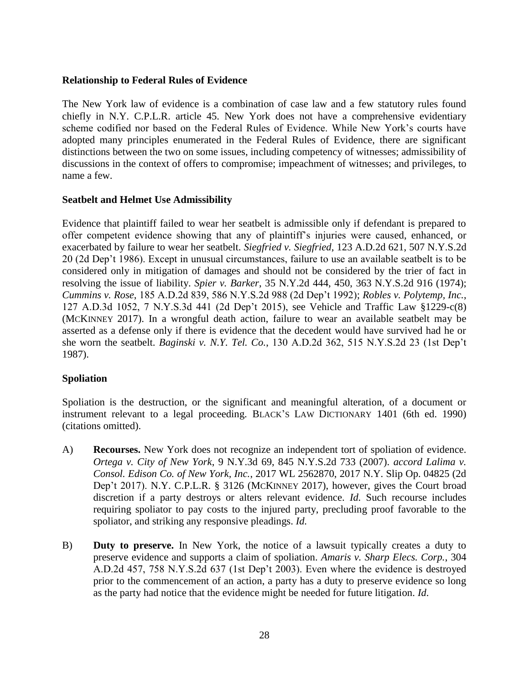## **Relationship to Federal Rules of Evidence**

The New York law of evidence is a combination of case law and a few statutory rules found chiefly in N.Y. C.P.L.R. article 45. New York does not have a comprehensive evidentiary scheme codified nor based on the Federal Rules of Evidence. While New York's courts have adopted many principles enumerated in the Federal Rules of Evidence, there are significant distinctions between the two on some issues, including competency of witnesses; admissibility of discussions in the context of offers to compromise; impeachment of witnesses; and privileges, to name a few.

## **Seatbelt and Helmet Use Admissibility**

Evidence that plaintiff failed to wear her seatbelt is admissible only if defendant is prepared to offer competent evidence showing that any of plaintiff's injuries were caused, enhanced, or exacerbated by failure to wear her seatbelt. *Siegfried v. Siegfried*, 123 A.D.2d 621, 507 N.Y.S.2d 20 (2d Dep't 1986). Except in unusual circumstances, failure to use an available seatbelt is to be considered only in mitigation of damages and should not be considered by the trier of fact in resolving the issue of liability. *Spier v. Barker*, 35 N.Y.2d 444, 450, 363 N.Y.S.2d 916 (1974); *Cummins v. Rose*, 185 A.D.2d 839, 586 N.Y.S.2d 988 (2d Dep't 1992); *Robles v. Polytemp, Inc.*, 127 A.D.3d 1052, 7 N.Y.S.3d 441 (2d Dep't 2015), see Vehicle and Traffic Law §1229-c(8) (MCKINNEY 2017). In a wrongful death action, failure to wear an available seatbelt may be asserted as a defense only if there is evidence that the decedent would have survived had he or she worn the seatbelt. *Baginski v. N.Y. Tel. Co.*, 130 A.D.2d 362, 515 N.Y.S.2d 23 (1st Dep't 1987).

# **Spoliation**

Spoliation is the destruction, or the significant and meaningful alteration, of a document or instrument relevant to a legal proceeding. BLACK'S LAW DICTIONARY 1401 (6th ed. 1990) (citations omitted).

- A) **Recourses.** New York does not recognize an independent tort of spoliation of evidence. *Ortega v. City of New York*, 9 N.Y.3d 69, 845 N.Y.S.2d 733 (2007). *accord Lalima v. Consol. Edison Co. of New York, Inc.*, 2017 WL 2562870, 2017 N.Y. Slip Op. 04825 (2d Dep't 2017). N.Y. C.P.L.R. § 3126 (MCKINNEY 2017), however, gives the Court broad discretion if a party destroys or alters relevant evidence. *Id.* Such recourse includes requiring spoliator to pay costs to the injured party, precluding proof favorable to the spoliator, and striking any responsive pleadings. *Id.*
- B) **Duty to preserve.** In New York, the notice of a lawsuit typically creates a duty to preserve evidence and supports a claim of spoliation. *Amaris v. Sharp Elecs. Corp.*, 304 A.D.2d 457, 758 N.Y.S.2d 637 (1st Dep't 2003). Even where the evidence is destroyed prior to the commencement of an action, a party has a duty to preserve evidence so long as the party had notice that the evidence might be needed for future litigation. *Id*.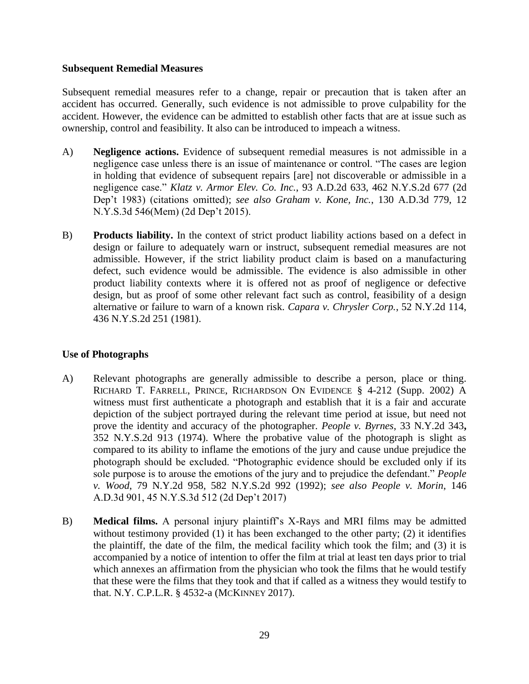#### **Subsequent Remedial Measures**

Subsequent remedial measures refer to a change, repair or precaution that is taken after an accident has occurred. Generally, such evidence is not admissible to prove culpability for the accident. However, the evidence can be admitted to establish other facts that are at issue such as ownership, control and feasibility. It also can be introduced to impeach a witness.

- A) **Negligence actions.** Evidence of subsequent remedial measures is not admissible in a negligence case unless there is an issue of maintenance or control. "The cases are legion in holding that evidence of subsequent repairs [are] not discoverable or admissible in a negligence case." *Klatz v. Armor Elev. Co. Inc.*, 93 A.D.2d 633, 462 N.Y.S.2d 677 (2d Dep't 1983) (citations omitted); *see also Graham v. Kone, Inc.*, 130 A.D.3d 779, 12 N.Y.S.3d 546(Mem) (2d Dep't 2015).
- B) **Products liability.** In the context of strict product liability actions based on a defect in design or failure to adequately warn or instruct, subsequent remedial measures are not admissible. However, if the strict liability product claim is based on a manufacturing defect, such evidence would be admissible. The evidence is also admissible in other product liability contexts where it is offered not as proof of negligence or defective design, but as proof of some other relevant fact such as control, feasibility of a design alternative or failure to warn of a known risk. *Capara v. Chrysler Corp.*, 52 N.Y.2d 114, 436 N.Y.S.2d 251 (1981).

## **Use of Photographs**

- A) Relevant photographs are generally admissible to describe a person, place or thing. RICHARD T. FARRELL, PRINCE, RICHARDSON ON EVIDENCE § 4-212 (Supp. 2002) A witness must first authenticate a photograph and establish that it is a fair and accurate depiction of the subject portrayed during the relevant time period at issue, but need not prove the identity and accuracy of the photographer. *People v. Byrnes*, 33 N.Y.2d 343**,**  352 N.Y.S.2d 913 (1974). Where the probative value of the photograph is slight as compared to its ability to inflame the emotions of the jury and cause undue prejudice the photograph should be excluded. "Photographic evidence should be excluded only if its sole purpose is to arouse the emotions of the jury and to prejudice the defendant." *People v. Wood*, 79 N.Y.2d 958, 582 N.Y.S.2d 992 (1992); *see also People v. Morin*, 146 A.D.3d 901, 45 N.Y.S.3d 512 (2d Dep't 2017)
- B) **Medical films.** A personal injury plaintiff's X-Rays and MRI films may be admitted without testimony provided (1) it has been exchanged to the other party; (2) it identifies the plaintiff, the date of the film, the medical facility which took the film; and (3) it is accompanied by a notice of intention to offer the film at trial at least ten days prior to trial which annexes an affirmation from the physician who took the films that he would testify that these were the films that they took and that if called as a witness they would testify to that. N.Y. C.P.L.R. § 4532-a (MCKINNEY 2017).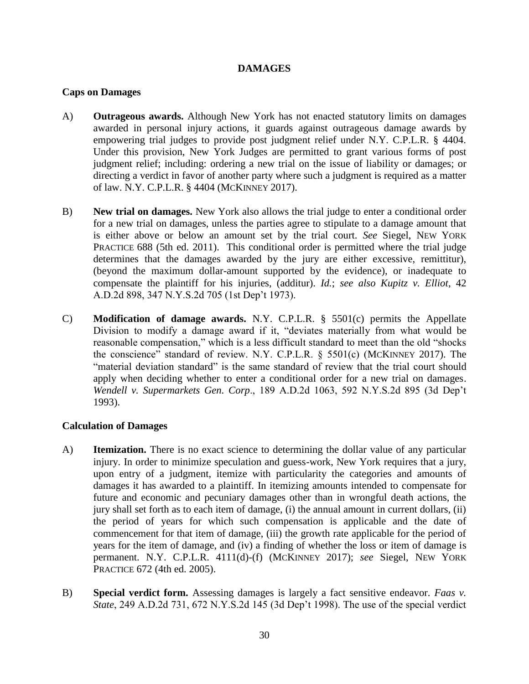## **DAMAGES**

### **Caps on Damages**

- A) **Outrageous awards.** Although New York has not enacted statutory limits on damages awarded in personal injury actions, it guards against outrageous damage awards by empowering trial judges to provide post judgment relief under N.Y. C.P.L.R. § 4404. Under this provision, New York Judges are permitted to grant various forms of post judgment relief; including: ordering a new trial on the issue of liability or damages; or directing a verdict in favor of another party where such a judgment is required as a matter of law. N.Y. C.P.L.R. § 4404 (MCKINNEY 2017).
- B) **New trial on damages.** New York also allows the trial judge to enter a conditional order for a new trial on damages, unless the parties agree to stipulate to a damage amount that is either above or below an amount set by the trial court. *See* Siegel, NEW YORK PRACTICE 688 (5th ed. 2011). This conditional order is permitted where the trial judge determines that the damages awarded by the jury are either excessive, remittitur), (beyond the maximum dollar-amount supported by the evidence), or inadequate to compensate the plaintiff for his injuries, (additur). *Id.*; *see also Kupitz v. Elliot*, 42 A.D.2d 898, 347 N.Y.S.2d 705 (1st Dep't 1973).
- C) **Modification of damage awards.** N.Y. C.P.L.R. § 5501(c) permits the Appellate Division to modify a damage award if it, "deviates materially from what would be reasonable compensation," which is a less difficult standard to meet than the old "shocks the conscience" standard of review. N.Y. C.P.L.R. § 5501(c) (MCKINNEY 2017). The "material deviation standard" is the same standard of review that the trial court should apply when deciding whether to enter a conditional order for a new trial on damages. *Wendell v. Supermarkets Gen. Corp*., 189 A.D.2d 1063, 592 N.Y.S.2d 895 (3d Dep't 1993).

## **Calculation of Damages**

- A) **Itemization.** There is no exact science to determining the dollar value of any particular injury. In order to minimize speculation and guess-work, New York requires that a jury, upon entry of a judgment, itemize with particularity the categories and amounts of damages it has awarded to a plaintiff. In itemizing amounts intended to compensate for future and economic and pecuniary damages other than in wrongful death actions, the jury shall set forth as to each item of damage, (i) the annual amount in current dollars, (ii) the period of years for which such compensation is applicable and the date of commencement for that item of damage, (iii) the growth rate applicable for the period of years for the item of damage, and (iv) a finding of whether the loss or item of damage is permanent. N.Y. C.P.L.R. 4111(d)-(f) (MCKINNEY 2017); *see* Siegel, NEW YORK PRACTICE 672 (4th ed. 2005).
- B) **Special verdict form.** Assessing damages is largely a fact sensitive endeavor. *Faas v. State*, 249 A.D.2d 731, 672 N.Y.S.2d 145 (3d Dep't 1998). The use of the special verdict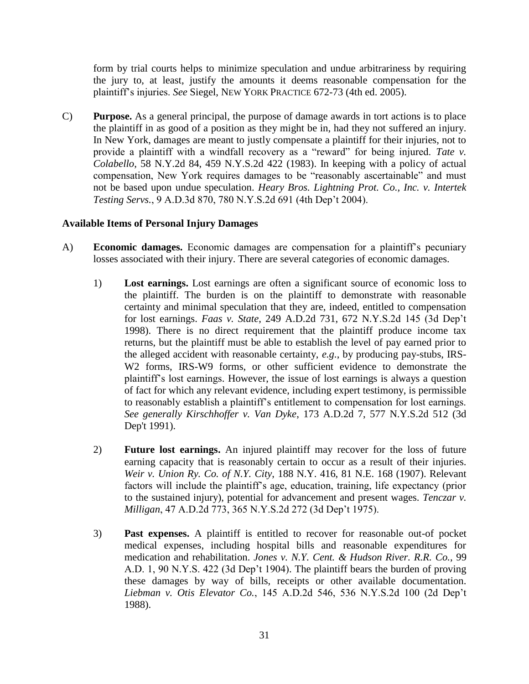form by trial courts helps to minimize speculation and undue arbitrariness by requiring the jury to, at least, justify the amounts it deems reasonable compensation for the plaintiff's injuries. *See* Siegel, NEW YORK PRACTICE 672-73 (4th ed. 2005).

C) **Purpose.** As a general principal, the purpose of damage awards in tort actions is to place the plaintiff in as good of a position as they might be in, had they not suffered an injury. In New York, damages are meant to justly compensate a plaintiff for their injuries, not to provide a plaintiff with a windfall recovery as a "reward" for being injured. *Tate v. Colabello*, 58 N.Y.2d 84, 459 N.Y.S.2d 422 (1983). In keeping with a policy of actual compensation, New York requires damages to be "reasonably ascertainable" and must not be based upon undue speculation. *Heary Bros. Lightning Prot. Co., Inc. v. Intertek Testing Servs.*, 9 A.D.3d 870, 780 N.Y.S.2d 691 (4th Dep't 2004).

## **Available Items of Personal Injury Damages**

- A) **Economic damages.** Economic damages are compensation for a plaintiff's pecuniary losses associated with their injury. There are several categories of economic damages.
	- 1) **Lost earnings.** Lost earnings are often a significant source of economic loss to the plaintiff. The burden is on the plaintiff to demonstrate with reasonable certainty and minimal speculation that they are, indeed, entitled to compensation for lost earnings. *Faas v. State*, 249 A.D.2d 731, 672 N.Y.S.2d 145 (3d Dep't 1998). There is no direct requirement that the plaintiff produce income tax returns, but the plaintiff must be able to establish the level of pay earned prior to the alleged accident with reasonable certainty, *e.g.*, by producing pay-stubs, IRS-W2 forms, IRS-W9 forms, or other sufficient evidence to demonstrate the plaintiff's lost earnings. However, the issue of lost earnings is always a question of fact for which any relevant evidence, including expert testimony, is permissible to reasonably establish a plaintiff's entitlement to compensation for lost earnings. *See generally Kirschhoffer v. Van Dyke*, 173 A.D.2d 7, 577 N.Y.S.2d 512 (3d Dep't 1991).
	- 2) **Future lost earnings.** An injured plaintiff may recover for the loss of future earning capacity that is reasonably certain to occur as a result of their injuries. *Weir v. Union Ry. Co. of N.Y. City*, 188 N.Y. 416, 81 N.E. 168 (1907). Relevant factors will include the plaintiff's age, education, training, life expectancy (prior to the sustained injury), potential for advancement and present wages. *Tenczar v. Milligan*, 47 A.D.2d 773, 365 N.Y.S.2d 272 (3d Dep't 1975).
	- 3) **Past expenses.** A plaintiff is entitled to recover for reasonable out-of pocket medical expenses, including hospital bills and reasonable expenditures for medication and rehabilitation. *Jones v. N.Y. Cent. & Hudson River. R.R. Co.*, 99 A.D. 1, 90 N.Y.S. 422 (3d Dep't 1904). The plaintiff bears the burden of proving these damages by way of bills, receipts or other available documentation. *Liebman v. Otis Elevator Co.*, 145 A.D.2d 546, 536 N.Y.S.2d 100 (2d Dep't 1988).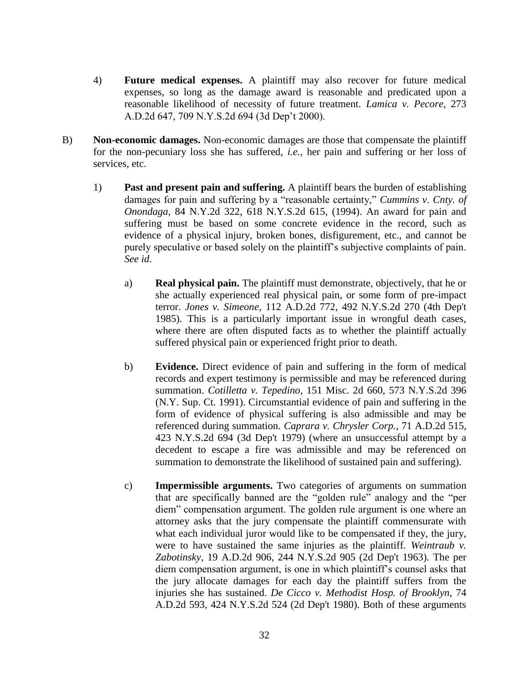- 4) **Future medical expenses.** A plaintiff may also recover for future medical expenses, so long as the damage award is reasonable and predicated upon a reasonable likelihood of necessity of future treatment. *Lamica v. Pecore*, 273 A.D.2d 647, 709 N.Y.S.2d 694 (3d Dep't 2000).
- B) **Non-economic damages.** Non-economic damages are those that compensate the plaintiff for the non-pecuniary loss she has suffered, *i.e.,* her pain and suffering or her loss of services, etc.
	- 1) **Past and present pain and suffering.** A plaintiff bears the burden of establishing damages for pain and suffering by a "reasonable certainty," *Cummins v. Cnty. of Onondaga*, 84 N.Y.2d 322, 618 N.Y.S.2d 615, (1994). An award for pain and suffering must be based on some concrete evidence in the record, such as evidence of a physical injury, broken bones, disfigurement, etc., and cannot be purely speculative or based solely on the plaintiff's subjective complaints of pain. *See id*.
		- a) **Real physical pain.** The plaintiff must demonstrate, objectively, that he or she actually experienced real physical pain, or some form of pre-impact terror. *Jones v. Simeone*, 112 A.D.2d 772, 492 N.Y.S.2d 270 (4th Dep't 1985). This is a particularly important issue in wrongful death cases, where there are often disputed facts as to whether the plaintiff actually suffered physical pain or experienced fright prior to death.
		- b) **Evidence.** Direct evidence of pain and suffering in the form of medical records and expert testimony is permissible and may be referenced during summation. *Cotilletta v. Tepedino*, 151 Misc. 2d 660, 573 N.Y.S.2d 396 (N.Y. Sup. Ct. 1991). Circumstantial evidence of pain and suffering in the form of evidence of physical suffering is also admissible and may be referenced during summation. *Caprara v. Chrysler Corp.*, 71 A.D.2d 515, 423 N.Y.S.2d 694 (3d Dep't 1979) (where an unsuccessful attempt by a decedent to escape a fire was admissible and may be referenced on summation to demonstrate the likelihood of sustained pain and suffering).
		- c) **Impermissible arguments.** Two categories of arguments on summation that are specifically banned are the "golden rule" analogy and the "per diem" compensation argument. The golden rule argument is one where an attorney asks that the jury compensate the plaintiff commensurate with what each individual juror would like to be compensated if they, the jury, were to have sustained the same injuries as the plaintiff. *Weintraub v. Zabotinsky*, 19 A.D.2d 906, 244 N.Y.S.2d 905 (2d Dep't 1963). The per diem compensation argument, is one in which plaintiff's counsel asks that the jury allocate damages for each day the plaintiff suffers from the injuries she has sustained. *De Cicco v. Methodist Hosp. of Brooklyn*, 74 A.D.2d 593, 424 N.Y.S.2d 524 (2d Dep't 1980). Both of these arguments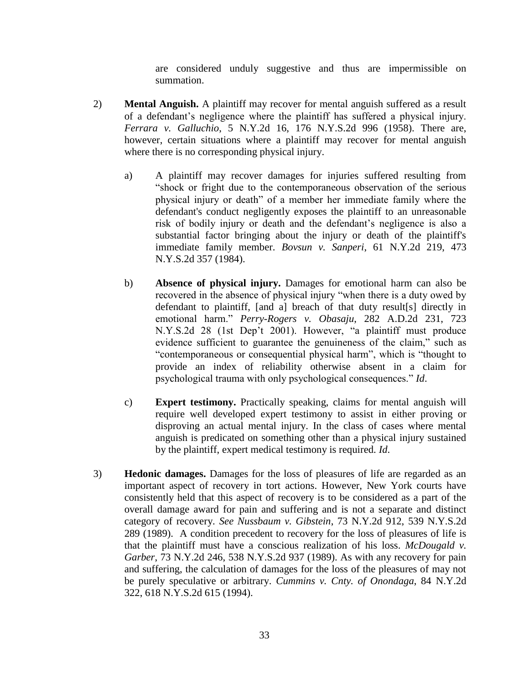are considered unduly suggestive and thus are impermissible on summation.

- 2) **Mental Anguish.** A plaintiff may recover for mental anguish suffered as a result of a defendant's negligence where the plaintiff has suffered a physical injury. *Ferrara v. Galluchio*, 5 N.Y.2d 16, 176 N.Y.S.2d 996 (1958). There are, however, certain situations where a plaintiff may recover for mental anguish where there is no corresponding physical injury.
	- a) A plaintiff may recover damages for injuries suffered resulting from "shock or fright due to the contemporaneous observation of the serious physical injury or death" of a member her immediate family where the defendant's conduct negligently exposes the plaintiff to an unreasonable risk of bodily injury or death and the defendant's negligence is also a substantial factor bringing about the injury or death of the plaintiff's immediate family member. *Bovsun v. Sanperi*, 61 N.Y.2d 219, 473 N.Y.S.2d 357 (1984).
	- b) **Absence of physical injury.** Damages for emotional harm can also be recovered in the absence of physical injury "when there is a duty owed by defendant to plaintiff, [and a] breach of that duty result[s] directly in emotional harm." *Perry-Rogers v. Obasaju*, 282 A.D.2d 231, 723 N.Y.S.2d 28 (1st Dep't 2001). However, "a plaintiff must produce evidence sufficient to guarantee the genuineness of the claim," such as "contemporaneous or consequential physical harm", which is "thought to provide an index of reliability otherwise absent in a claim for psychological trauma with only psychological consequences." *Id*.
	- c) **Expert testimony.** Practically speaking, claims for mental anguish will require well developed expert testimony to assist in either proving or disproving an actual mental injury. In the class of cases where mental anguish is predicated on something other than a physical injury sustained by the plaintiff, expert medical testimony is required. *Id*.
- 3) **Hedonic damages.** Damages for the loss of pleasures of life are regarded as an important aspect of recovery in tort actions. However, New York courts have consistently held that this aspect of recovery is to be considered as a part of the overall damage award for pain and suffering and is not a separate and distinct category of recovery. *See Nussbaum v. Gibstein*, 73 N.Y.2d 912, 539 N.Y.S.2d 289 (1989). A condition precedent to recovery for the loss of pleasures of life is that the plaintiff must have a conscious realization of his loss. *McDougald v. Garber*, 73 N.Y.2d 246, 538 N.Y.S.2d 937 (1989). As with any recovery for pain and suffering, the calculation of damages for the loss of the pleasures of may not be purely speculative or arbitrary. *Cummins v. Cnty. of Onondaga*, 84 N.Y.2d 322, 618 N.Y.S.2d 615 (1994).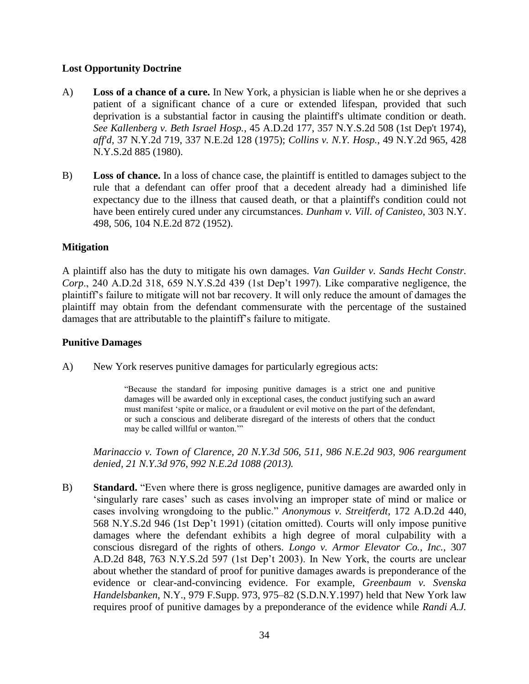## **Lost Opportunity Doctrine**

- A) **Loss of a chance of a cure.** In New York, a physician is liable when he or she deprives a patient of a significant chance of a cure or extended lifespan, provided that such deprivation is a substantial factor in causing the plaintiff's ultimate condition or death. *See Kallenberg v. Beth Israel Hosp.*, 45 A.D.2d 177, 357 N.Y.S.2d 508 (1st Dep't 1974), *aff'd*, 37 N.Y.2d 719, 337 N.E.2d 128 (1975); *Collins v. N.Y. Hosp.*, 49 N.Y.2d 965, 428 N.Y.S.2d 885 (1980).
- B) **Loss of chance.** In a loss of chance case, the plaintiff is entitled to damages subject to the rule that a defendant can offer proof that a decedent already had a diminished life expectancy due to the illness that caused death, or that a plaintiff's condition could not have been entirely cured under any circumstances. *Dunham v. Vill. of Canisteo*, 303 N.Y. 498, 506, 104 N.E.2d 872 (1952).

## **Mitigation**

A plaintiff also has the duty to mitigate his own damages. *Van Guilder v. Sands Hecht Constr. Corp*., 240 A.D.2d 318, 659 N.Y.S.2d 439 (1st Dep't 1997). Like comparative negligence, the plaintiff's failure to mitigate will not bar recovery. It will only reduce the amount of damages the plaintiff may obtain from the defendant commensurate with the percentage of the sustained damages that are attributable to the plaintiff's failure to mitigate.

## **Punitive Damages**

A) New York reserves punitive damages for particularly egregious acts:

"Because the standard for imposing punitive damages is a strict one and punitive damages will be awarded only in exceptional cases, the conduct justifying such an award must manifest 'spite or malice, or a fraudulent or evil motive on the part of the defendant, or such a conscious and deliberate disregard of the interests of others that the conduct may be called willful or wanton.'"

*Marinaccio v. Town of Clarence, 20 N.Y.3d 506, 511, 986 N.E.2d 903, 906 reargument denied, 21 N.Y.3d 976, 992 N.E.2d 1088 (2013).* 

B) **Standard.** "Even where there is gross negligence, punitive damages are awarded only in 'singularly rare cases' such as cases involving an improper state of mind or malice or cases involving wrongdoing to the public." *Anonymous v. Streitferdt*, 172 A.D.2d 440, 568 N.Y.S.2d 946 (1st Dep't 1991) (citation omitted). Courts will only impose punitive damages where the defendant exhibits a high degree of moral culpability with a conscious disregard of the rights of others. *Longo v. Armor Elevator Co., Inc.*, 307 A.D.2d 848, 763 N.Y.S.2d 597 (1st Dep't 2003). In New York, the courts are unclear about whether the standard of proof for punitive damages awards is preponderance of the evidence or clear-and-convincing evidence. For example, *Greenbaum v. Svenska Handelsbanken*, N.Y., 979 F.Supp. 973, 975–82 (S.D.N.Y.1997) held that New York law requires proof of punitive damages by a preponderance of the evidence while *Randi A.J.*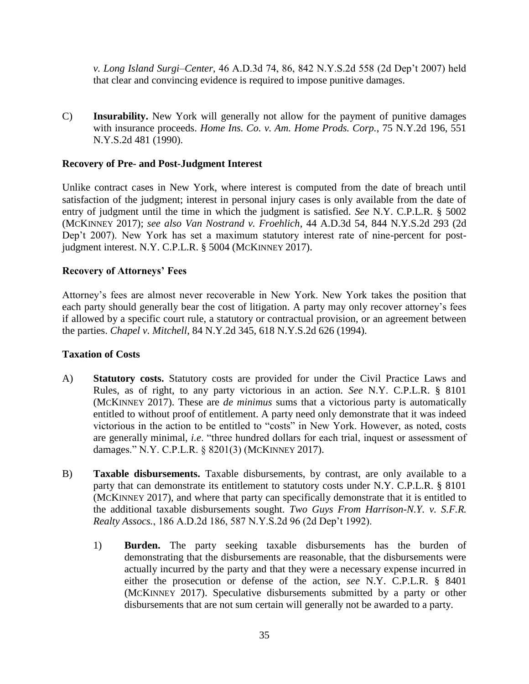*v. Long Island Surgi–Center*, 46 A.D.3d 74, 86, 842 N.Y.S.2d 558 (2d Dep't 2007) held that clear and convincing evidence is required to impose punitive damages.

C) **Insurability.** New York will generally not allow for the payment of punitive damages with insurance proceeds. *Home Ins. Co. v. Am. Home Prods. Corp.*, 75 N.Y.2d 196, 551 N.Y.S.2d 481 (1990).

## **Recovery of Pre- and Post-Judgment Interest**

Unlike contract cases in New York, where interest is computed from the date of breach until satisfaction of the judgment; interest in personal injury cases is only available from the date of entry of judgment until the time in which the judgment is satisfied. *See* N.Y. C.P.L.R. § 5002 (MCKINNEY 2017); *see also Van Nostrand v. Froehlich*, 44 A.D.3d 54, 844 N.Y.S.2d 293 (2d Dep't 2007). New York has set a maximum statutory interest rate of nine-percent for postjudgment interest. N.Y. C.P.L.R. § 5004 (MCKINNEY 2017).

## **Recovery of Attorneys' Fees**

Attorney's fees are almost never recoverable in New York. New York takes the position that each party should generally bear the cost of litigation. A party may only recover attorney's fees if allowed by a specific court rule, a statutory or contractual provision, or an agreement between the parties. *Chapel v. Mitchell*, 84 N.Y.2d 345, 618 N.Y.S.2d 626 (1994).

## **Taxation of Costs**

- A) **Statutory costs.** Statutory costs are provided for under the Civil Practice Laws and Rules, as of right, to any party victorious in an action. *See* N.Y. C.P.L.R. § 8101 (MCKINNEY 2017). These are *de minimus* sums that a victorious party is automatically entitled to without proof of entitlement. A party need only demonstrate that it was indeed victorious in the action to be entitled to "costs" in New York. However, as noted, costs are generally minimal, *i.e*. "three hundred dollars for each trial, inquest or assessment of damages." N.Y. C.P.L.R. § 8201(3) (MCKINNEY 2017).
- B) **Taxable disbursements.** Taxable disbursements, by contrast, are only available to a party that can demonstrate its entitlement to statutory costs under N.Y. C.P.L.R. § 8101 (MCKINNEY 2017), and where that party can specifically demonstrate that it is entitled to the additional taxable disbursements sought. *Two Guys From Harrison-N.Y. v. S.F.R. Realty Assocs.*, 186 A.D.2d 186, 587 N.Y.S.2d 96 (2d Dep't 1992).
	- 1) **Burden.** The party seeking taxable disbursements has the burden of demonstrating that the disbursements are reasonable, that the disbursements were actually incurred by the party and that they were a necessary expense incurred in either the prosecution or defense of the action, *see* N.Y. C.P.L.R. § 8401 (MCKINNEY 2017). Speculative disbursements submitted by a party or other disbursements that are not sum certain will generally not be awarded to a party.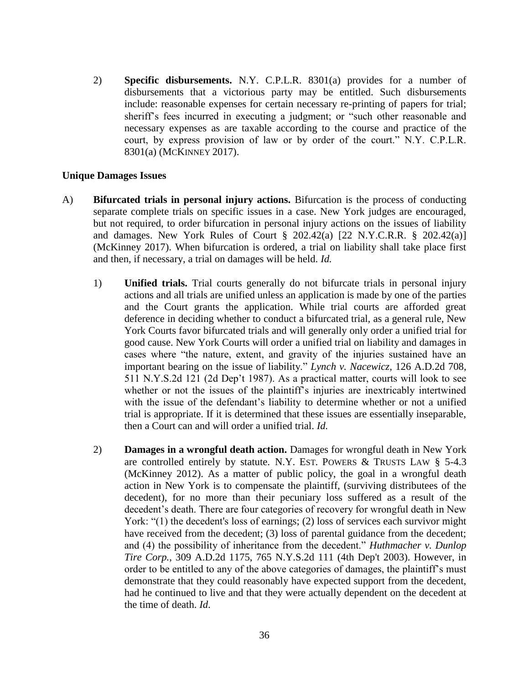2) **Specific disbursements.** N.Y. C.P.L.R. 8301(a) provides for a number of disbursements that a victorious party may be entitled. Such disbursements include: reasonable expenses for certain necessary re-printing of papers for trial; sheriff's fees incurred in executing a judgment; or "such other reasonable and necessary expenses as are taxable according to the course and practice of the court, by express provision of law or by order of the court." N.Y. C.P.L.R. 8301(a) (MCKINNEY 2017).

#### **Unique Damages Issues**

- A) **Bifurcated trials in personal injury actions.** Bifurcation is the process of conducting separate complete trials on specific issues in a case. New York judges are encouraged, but not required, to order bifurcation in personal injury actions on the issues of liability and damages. New York Rules of Court § 202.42(a) [22 N.Y.C.R.R. § 202.42(a)] (McKinney 2017). When bifurcation is ordered, a trial on liability shall take place first and then, if necessary, a trial on damages will be held. *Id.* 
	- 1) **Unified trials.** Trial courts generally do not bifurcate trials in personal injury actions and all trials are unified unless an application is made by one of the parties and the Court grants the application. While trial courts are afforded great deference in deciding whether to conduct a bifurcated trial, as a general rule, New York Courts favor bifurcated trials and will generally only order a unified trial for good cause. New York Courts will order a unified trial on liability and damages in cases where "the nature, extent, and gravity of the injuries sustained have an important bearing on the issue of liability." *Lynch v. Nacewicz*, 126 A.D.2d 708, 511 N.Y.S.2d 121 (2d Dep't 1987). As a practical matter, courts will look to see whether or not the issues of the plaintiff's injuries are inextricably intertwined with the issue of the defendant's liability to determine whether or not a unified trial is appropriate. If it is determined that these issues are essentially inseparable, then a Court can and will order a unified trial. *Id.*
	- 2) **Damages in a wrongful death action.** Damages for wrongful death in New York are controlled entirely by statute. N.Y. EST. POWERS & TRUSTS LAW § 5-4.3 (McKinney 2012). As a matter of public policy, the goal in a wrongful death action in New York is to compensate the plaintiff, (surviving distributees of the decedent), for no more than their pecuniary loss suffered as a result of the decedent's death. There are four categories of recovery for wrongful death in New York: "(1) the decedent's loss of earnings; (2) loss of services each survivor might have received from the decedent; (3) loss of parental guidance from the decedent; and (4) the possibility of inheritance from the decedent." *Huthmacher v. Dunlop Tire Corp.*, 309 A.D.2d 1175, 765 N.Y.S.2d 111 (4th Dep't 2003). However, in order to be entitled to any of the above categories of damages, the plaintiff's must demonstrate that they could reasonably have expected support from the decedent, had he continued to live and that they were actually dependent on the decedent at the time of death. *Id*.